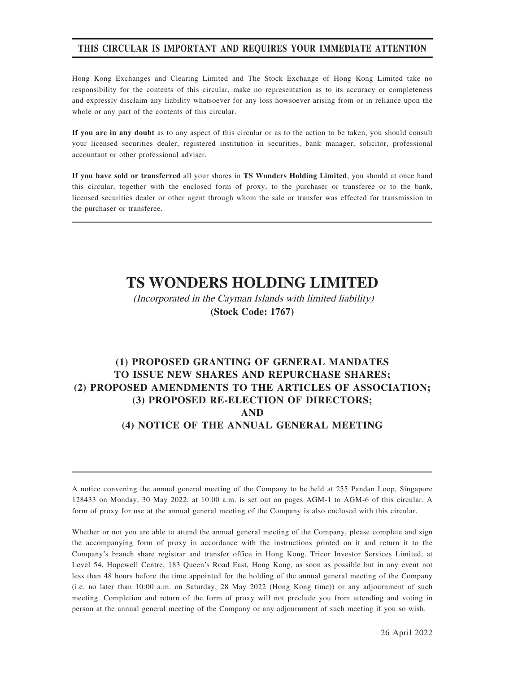### THIS CIRCULAR IS IMPORTANT AND REQUIRES YOUR IMMEDIATE ATTENTION

Hong Kong Exchanges and Clearing Limited and The Stock Exchange of Hong Kong Limited take no responsibility for the contents of this circular, make no representation as to its accuracy or completeness and expressly disclaim any liability whatsoever for any loss howsoever arising from or in reliance upon the whole or any part of the contents of this circular.

If you are in any doubt as to any aspect of this circular or as to the action to be taken, you should consult your licensed securities dealer, registered institution in securities, bank manager, solicitor, professional accountant or other professional adviser.

If you have sold or transferred all your shares in TS Wonders Holding Limited, you should at once hand this circular, together with the enclosed form of proxy, to the purchaser or transferee or to the bank, licensed securities dealer or other agent through whom the sale or transfer was effected for transmission to the purchaser or transferee.

# **TS WONDERS HOLDING LIMITED**

(Incorporated in the Cayman Islands with limited liability) **(Stock Code: 1767)**

# (1) PROPOSED GRANTING OF GENERAL MANDATES TO ISSUE NEW SHARES AND REPURCHASE SHARES; (2) PROPOSED AMENDMENTS TO THE ARTICLES OF ASSOCIATION; (3) PROPOSED RE-ELECTION OF DIRECTORS; AND (4) NOTICE OF THE ANNUAL GENERAL MEETING

A notice convening the annual general meeting of the Company to be held at 255 Pandan Loop, Singapore 128433 on Monday, 30 May 2022, at 10:00 a.m. is set out on pages AGM-1 to AGM-6 of this circular. A form of proxy for use at the annual general meeting of the Company is also enclosed with this circular.

Whether or not you are able to attend the annual general meeting of the Company, please complete and sign the accompanying form of proxy in accordance with the instructions printed on it and return it to the Company's branch share registrar and transfer office in Hong Kong, Tricor Investor Services Limited, at Level 54, Hopewell Centre, 183 Queen's Road East, Hong Kong, as soon as possible but in any event not less than 48 hours before the time appointed for the holding of the annual general meeting of the Company (i.e. no later than 10:00 a.m. on Saturday, 28 May 2022 (Hong Kong time)) or any adjournment of such meeting. Completion and return of the form of proxy will not preclude you from attending and voting in person at the annual general meeting of the Company or any adjournment of such meeting if you so wish.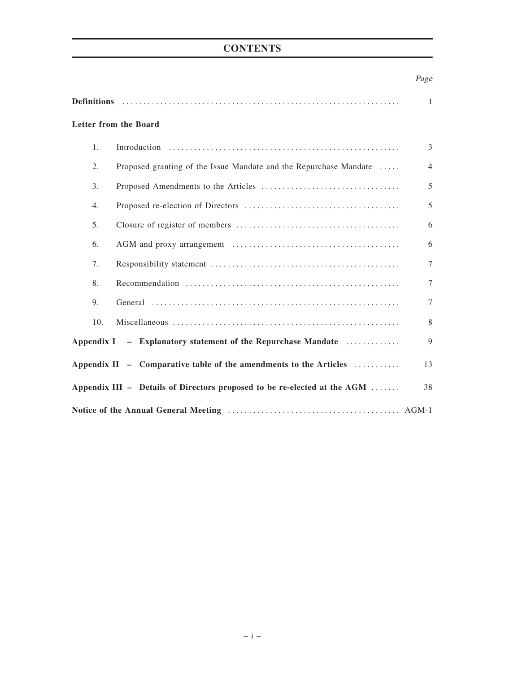# **CONTENTS**

# Page

|                | <b>Letter from the Board</b>                                             |                |  |  |  |  |
|----------------|--------------------------------------------------------------------------|----------------|--|--|--|--|
| $\mathbf{1}$ . |                                                                          | $\overline{3}$ |  |  |  |  |
| 2.             | Proposed granting of the Issue Mandate and the Repurchase Mandate        | $\overline{4}$ |  |  |  |  |
| 3.             |                                                                          | 5              |  |  |  |  |
| 4.             |                                                                          | 5              |  |  |  |  |
| 5.             |                                                                          | 6              |  |  |  |  |
| 6.             |                                                                          | 6              |  |  |  |  |
| 7.             |                                                                          | $\tau$         |  |  |  |  |
| 8.             |                                                                          | $\tau$         |  |  |  |  |
| 9.             |                                                                          | $\tau$         |  |  |  |  |
| 10.            |                                                                          | 8              |  |  |  |  |
|                | Appendix I - Explanatory statement of the Repurchase Mandate             | 9              |  |  |  |  |
|                | Appendix II - Comparative table of the amendments to the Articles        | 13             |  |  |  |  |
|                | Appendix III - Details of Directors proposed to be re-elected at the AGM | 38             |  |  |  |  |
|                |                                                                          |                |  |  |  |  |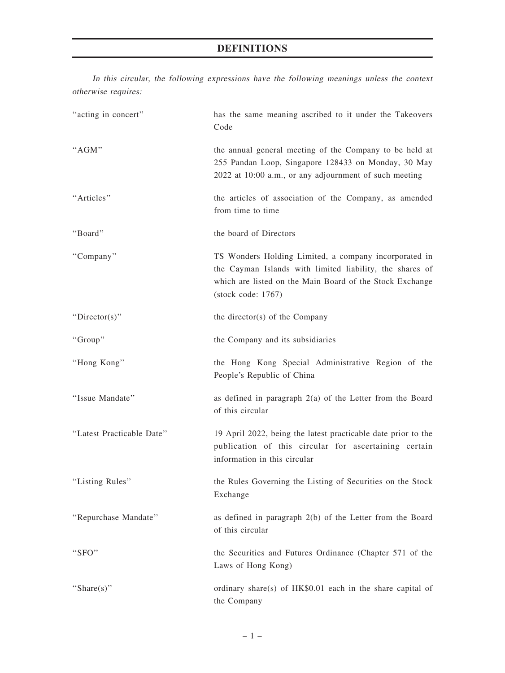# DEFINITIONS

In this circular, the following expressions have the following meanings unless the context otherwise requires:

| "acting in concert"       | has the same meaning ascribed to it under the Takeovers<br>Code                                                                                                                                              |
|---------------------------|--------------------------------------------------------------------------------------------------------------------------------------------------------------------------------------------------------------|
| "AGM"                     | the annual general meeting of the Company to be held at<br>255 Pandan Loop, Singapore 128433 on Monday, 30 May<br>2022 at 10:00 a.m., or any adjournment of such meeting                                     |
| "Articles"                | the articles of association of the Company, as amended<br>from time to time                                                                                                                                  |
| "Board"                   | the board of Directors                                                                                                                                                                                       |
| "Company"                 | TS Wonders Holding Limited, a company incorporated in<br>the Cayman Islands with limited liability, the shares of<br>which are listed on the Main Board of the Stock Exchange<br>$(\text{stock code}: 1767)$ |
| "Director(s)"             | the director(s) of the Company                                                                                                                                                                               |
| "Group"                   | the Company and its subsidiaries                                                                                                                                                                             |
| "Hong Kong"               | the Hong Kong Special Administrative Region of the<br>People's Republic of China                                                                                                                             |
| "Issue Mandate"           | as defined in paragraph $2(a)$ of the Letter from the Board<br>of this circular                                                                                                                              |
| "Latest Practicable Date" | 19 April 2022, being the latest practicable date prior to the<br>publication of this circular for ascertaining certain<br>information in this circular                                                       |
| "Listing Rules"           | the Rules Governing the Listing of Securities on the Stock<br>Exchange                                                                                                                                       |
| "Repurchase Mandate"      | as defined in paragraph 2(b) of the Letter from the Board<br>of this circular                                                                                                                                |
| "SFO"                     | the Securities and Futures Ordinance (Chapter 571 of the<br>Laws of Hong Kong)                                                                                                                               |
| "Share $(s)$ "            | ordinary share(s) of HK\$0.01 each in the share capital of<br>the Company                                                                                                                                    |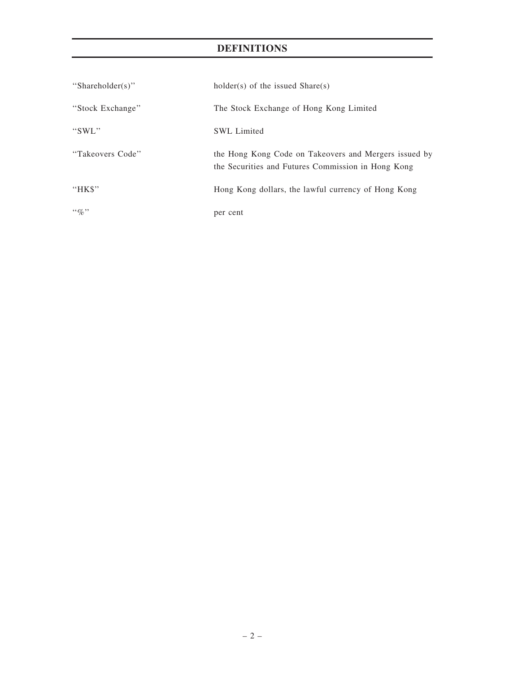# DEFINITIONS

| "Shareholder(s)" | $holder(s)$ of the issued $Share(s)$                                                                        |
|------------------|-------------------------------------------------------------------------------------------------------------|
| "Stock Exchange" | The Stock Exchange of Hong Kong Limited                                                                     |
| "SWL"            | <b>SWL</b> Limited                                                                                          |
| "Takeovers Code" | the Hong Kong Code on Takeovers and Mergers issued by<br>the Securities and Futures Commission in Hong Kong |
| " $HKS$ "        | Hong Kong dollars, the lawful currency of Hong Kong                                                         |
| $\lq\lq q_0$ "   | per cent                                                                                                    |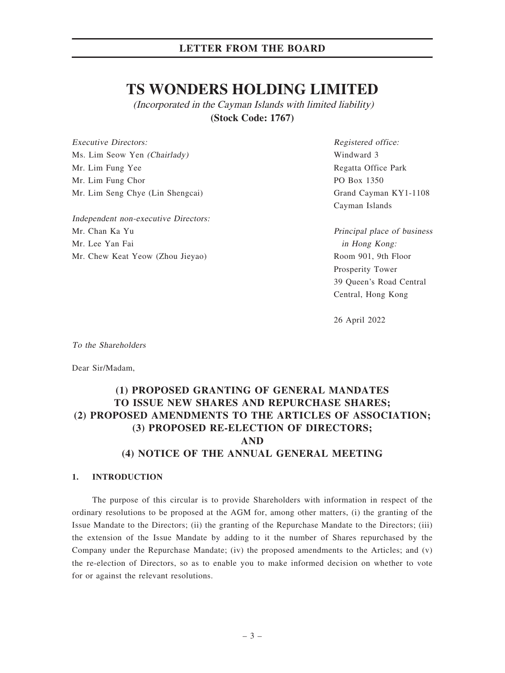# **TS WONDERS HOLDING LIMITED**

(Incorporated in the Cayman Islands with limited liability) **(Stock Code: 1767)**

Executive Directors: Ms. Lim Seow Yen (Chairlady) Mr. Lim Fung Yee Mr. Lim Fung Chor Mr. Lim Seng Chye (Lin Shengcai)

Independent non-executive Directors: Mr. Chan Ka Yu Mr. Lee Yan Fai Mr. Chew Keat Yeow (Zhou Jieyao)

Registered office: Windward 3 Regatta Office Park PO Box 1350 Grand Cayman KY1-1108 Cayman Islands

Principal place of business in Hong Kong: Room 901, 9th Floor Prosperity Tower 39 Queen's Road Central Central, Hong Kong

26 April 2022

To the Shareholders

Dear Sir/Madam,

# (1) PROPOSED GRANTING OF GENERAL MANDATES TO ISSUE NEW SHARES AND REPURCHASE SHARES; (2) PROPOSED AMENDMENTS TO THE ARTICLES OF ASSOCIATION; (3) PROPOSED RE-ELECTION OF DIRECTORS; AND (4) NOTICE OF THE ANNUAL GENERAL MEETING

### 1. INTRODUCTION

The purpose of this circular is to provide Shareholders with information in respect of the ordinary resolutions to be proposed at the AGM for, among other matters, (i) the granting of the Issue Mandate to the Directors; (ii) the granting of the Repurchase Mandate to the Directors; (iii) the extension of the Issue Mandate by adding to it the number of Shares repurchased by the Company under the Repurchase Mandate; (iv) the proposed amendments to the Articles; and (v) the re-election of Directors, so as to enable you to make informed decision on whether to vote for or against the relevant resolutions.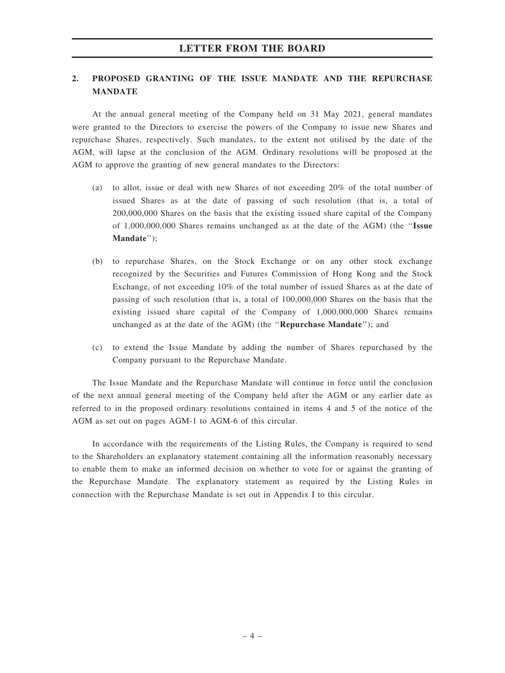### 2. PROPOSED GRANTING OF THE ISSUE MANDATE AND THE REPURCHASE MANDATE

At the annual general meeting of the Company held on 31 May 2021, general mandates were granted to the Directors to exercise the powers of the Company to issue new Shares and repurchase Shares, respectively. Such mandates, to the extent not utilised by the date of the AGM, will lapse at the conclusion of the AGM. Ordinary resolutions will be proposed at the AGM to approve the granting of new general mandates to the Directors:

- (a) to allot, issue or deal with new Shares of not exceeding 20% of the total number of issued Shares as at the date of passing of such resolution (that is, a total of 200,000,000 Shares on the basis that the existing issued share capital of the Company of 1,000,000,000 Shares remains unchanged as at the date of the AGM) (the ''Issue Mandate'');
- (b) to repurchase Shares, on the Stock Exchange or on any other stock exchange recognized by the Securities and Futures Commission of Hong Kong and the Stock Exchange, of not exceeding 10% of the total number of issued Shares as at the date of passing of such resolution (that is, a total of 100,000,000 Shares on the basis that the existing issued share capital of the Company of 1,000,000,000 Shares remains unchanged as at the date of the AGM) (the ''Repurchase Mandate''); and
- (c) to extend the Issue Mandate by adding the number of Shares repurchased by the Company pursuant to the Repurchase Mandate.

The Issue Mandate and the Repurchase Mandate will continue in force until the conclusion of the next annual general meeting of the Company held after the AGM or any earlier date as referred to in the proposed ordinary resolutions contained in items 4 and 5 of the notice of the AGM as set out on pages AGM-1 to AGM-6 of this circular.

In accordance with the requirements of the Listing Rules, the Company is required to send to the Shareholders an explanatory statement containing all the information reasonably necessary to enable them to make an informed decision on whether to vote for or against the granting of the Repurchase Mandate. The explanatory statement as required by the Listing Rules in connection with the Repurchase Mandate is set out in Appendix I to this circular.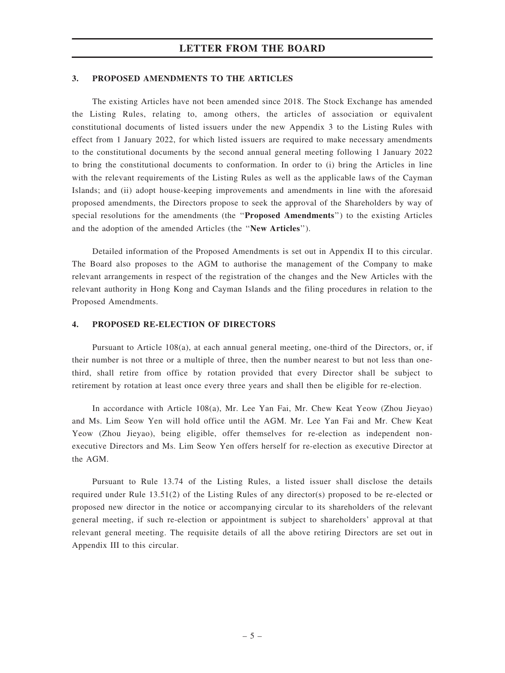### 3. PROPOSED AMENDMENTS TO THE ARTICLES

The existing Articles have not been amended since 2018. The Stock Exchange has amended the Listing Rules, relating to, among others, the articles of association or equivalent constitutional documents of listed issuers under the new Appendix 3 to the Listing Rules with effect from 1 January 2022, for which listed issuers are required to make necessary amendments to the constitutional documents by the second annual general meeting following 1 January 2022 to bring the constitutional documents to conformation. In order to (i) bring the Articles in line with the relevant requirements of the Listing Rules as well as the applicable laws of the Cayman Islands; and (ii) adopt house-keeping improvements and amendments in line with the aforesaid proposed amendments, the Directors propose to seek the approval of the Shareholders by way of special resolutions for the amendments (the "Proposed Amendments") to the existing Articles and the adoption of the amended Articles (the ''New Articles'').

Detailed information of the Proposed Amendments is set out in Appendix II to this circular. The Board also proposes to the AGM to authorise the management of the Company to make relevant arrangements in respect of the registration of the changes and the New Articles with the relevant authority in Hong Kong and Cayman Islands and the filing procedures in relation to the Proposed Amendments.

### 4. PROPOSED RE-ELECTION OF DIRECTORS

Pursuant to Article 108(a), at each annual general meeting, one-third of the Directors, or, if their number is not three or a multiple of three, then the number nearest to but not less than onethird, shall retire from office by rotation provided that every Director shall be subject to retirement by rotation at least once every three years and shall then be eligible for re-election.

In accordance with Article 108(a), Mr. Lee Yan Fai, Mr. Chew Keat Yeow (Zhou Jieyao) and Ms. Lim Seow Yen will hold office until the AGM. Mr. Lee Yan Fai and Mr. Chew Keat Yeow (Zhou Jieyao), being eligible, offer themselves for re-election as independent nonexecutive Directors and Ms. Lim Seow Yen offers herself for re-election as executive Director at the AGM.

Pursuant to Rule 13.74 of the Listing Rules, a listed issuer shall disclose the details required under Rule 13.51(2) of the Listing Rules of any director(s) proposed to be re-elected or proposed new director in the notice or accompanying circular to its shareholders of the relevant general meeting, if such re-election or appointment is subject to shareholders' approval at that relevant general meeting. The requisite details of all the above retiring Directors are set out in Appendix III to this circular.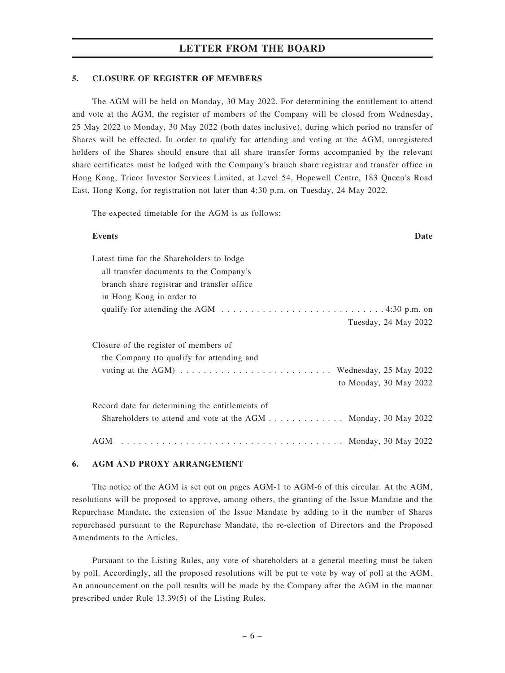### 5. CLOSURE OF REGISTER OF MEMBERS

The AGM will be held on Monday, 30 May 2022. For determining the entitlement to attend and vote at the AGM, the register of members of the Company will be closed from Wednesday, 25 May 2022 to Monday, 30 May 2022 (both dates inclusive), during which period no transfer of Shares will be effected. In order to qualify for attending and voting at the AGM, unregistered holders of the Shares should ensure that all share transfer forms accompanied by the relevant share certificates must be lodged with the Company's branch share registrar and transfer office in Hong Kong, Tricor Investor Services Limited, at Level 54, Hopewell Centre, 183 Queen's Road East, Hong Kong, for registration not later than 4:30 p.m. on Tuesday, 24 May 2022.

The expected timetable for the AGM is as follows:

| <b>Events</b><br>Date                                                                                                           |
|---------------------------------------------------------------------------------------------------------------------------------|
| Latest time for the Shareholders to lodge                                                                                       |
| all transfer documents to the Company's                                                                                         |
| branch share registrar and transfer office                                                                                      |
| in Hong Kong in order to                                                                                                        |
| qualify for attending the AGM $\dots \dots \dots \dots \dots \dots \dots \dots \dots \dots \dots \dots \dots \dots \dots \dots$ |
| Tuesday, 24 May 2022                                                                                                            |
| Closure of the register of members of<br>the Company (to qualify for attending and                                              |
| voting at the AGM) $\dots \dots \dots \dots \dots \dots \dots \dots \dots$ . Wednesday, 25 May 2022                             |
| to Monday, 30 May 2022                                                                                                          |
| Record date for determining the entitlements of                                                                                 |
| Shareholders to attend and vote at the AGM Monday, 30 May 2022                                                                  |
|                                                                                                                                 |

### 6. AGM AND PROXY ARRANGEMENT

The notice of the AGM is set out on pages AGM-1 to AGM-6 of this circular. At the AGM, resolutions will be proposed to approve, among others, the granting of the Issue Mandate and the Repurchase Mandate, the extension of the Issue Mandate by adding to it the number of Shares repurchased pursuant to the Repurchase Mandate, the re-election of Directors and the Proposed Amendments to the Articles.

Pursuant to the Listing Rules, any vote of shareholders at a general meeting must be taken by poll. Accordingly, all the proposed resolutions will be put to vote by way of poll at the AGM. An announcement on the poll results will be made by the Company after the AGM in the manner prescribed under Rule 13.39(5) of the Listing Rules.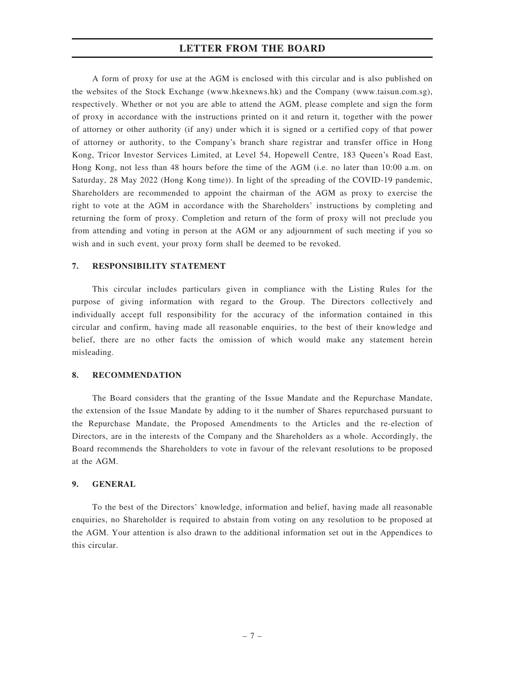A form of proxy for use at the AGM is enclosed with this circular and is also published on the websites of the Stock Exchange (www.hkexnews.hk) and the Company (www.taisun.com.sg), respectively. Whether or not you are able to attend the AGM, please complete and sign the form of proxy in accordance with the instructions printed on it and return it, together with the power of attorney or other authority (if any) under which it is signed or a certified copy of that power of attorney or authority, to the Company's branch share registrar and transfer office in Hong Kong, Tricor Investor Services Limited, at Level 54, Hopewell Centre, 183 Queen's Road East, Hong Kong, not less than 48 hours before the time of the AGM (i.e. no later than 10:00 a.m. on Saturday, 28 May 2022 (Hong Kong time)). In light of the spreading of the COVID-19 pandemic, Shareholders are recommended to appoint the chairman of the AGM as proxy to exercise the right to vote at the AGM in accordance with the Shareholders' instructions by completing and returning the form of proxy. Completion and return of the form of proxy will not preclude you from attending and voting in person at the AGM or any adjournment of such meeting if you so wish and in such event, your proxy form shall be deemed to be revoked.

### 7. RESPONSIBILITY STATEMENT

This circular includes particulars given in compliance with the Listing Rules for the purpose of giving information with regard to the Group. The Directors collectively and individually accept full responsibility for the accuracy of the information contained in this circular and confirm, having made all reasonable enquiries, to the best of their knowledge and belief, there are no other facts the omission of which would make any statement herein misleading.

### 8. RECOMMENDATION

The Board considers that the granting of the Issue Mandate and the Repurchase Mandate, the extension of the Issue Mandate by adding to it the number of Shares repurchased pursuant to the Repurchase Mandate, the Proposed Amendments to the Articles and the re-election of Directors, are in the interests of the Company and the Shareholders as a whole. Accordingly, the Board recommends the Shareholders to vote in favour of the relevant resolutions to be proposed at the AGM.

### 9. GENERAL

To the best of the Directors' knowledge, information and belief, having made all reasonable enquiries, no Shareholder is required to abstain from voting on any resolution to be proposed at the AGM. Your attention is also drawn to the additional information set out in the Appendices to this circular.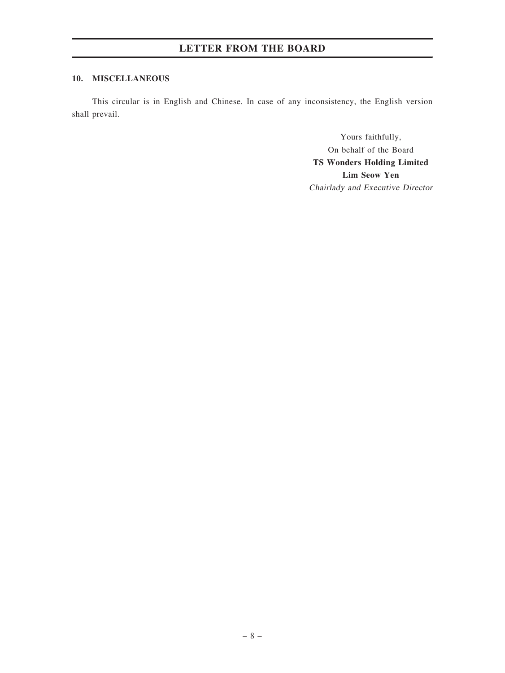### 10. MISCELLANEOUS

This circular is in English and Chinese. In case of any inconsistency, the English version shall prevail.

> Yours faithfully, On behalf of the Board TS Wonders Holding Limited Lim Seow Yen Chairlady and Executive Director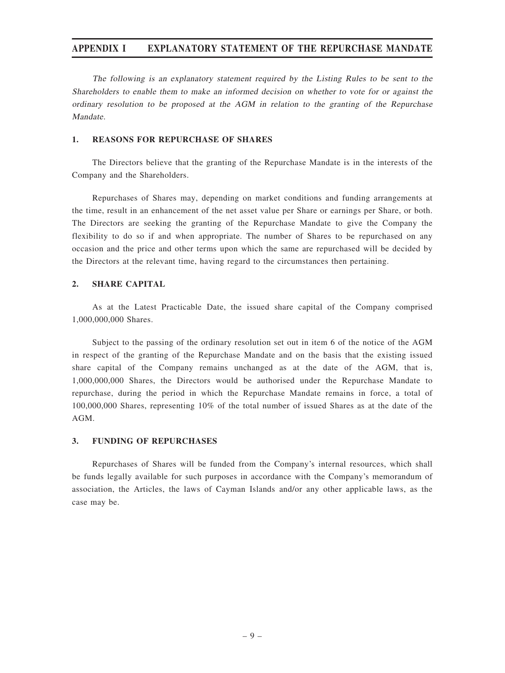The following is an explanatory statement required by the Listing Rules to be sent to the Shareholders to enable them to make an informed decision on whether to vote for or against the ordinary resolution to be proposed at the AGM in relation to the granting of the Repurchase Mandate.

### 1. REASONS FOR REPURCHASE OF SHARES

The Directors believe that the granting of the Repurchase Mandate is in the interests of the Company and the Shareholders.

Repurchases of Shares may, depending on market conditions and funding arrangements at the time, result in an enhancement of the net asset value per Share or earnings per Share, or both. The Directors are seeking the granting of the Repurchase Mandate to give the Company the flexibility to do so if and when appropriate. The number of Shares to be repurchased on any occasion and the price and other terms upon which the same are repurchased will be decided by the Directors at the relevant time, having regard to the circumstances then pertaining.

### 2. SHARE CAPITAL

As at the Latest Practicable Date, the issued share capital of the Company comprised 1,000,000,000 Shares.

Subject to the passing of the ordinary resolution set out in item 6 of the notice of the AGM in respect of the granting of the Repurchase Mandate and on the basis that the existing issued share capital of the Company remains unchanged as at the date of the AGM, that is, 1,000,000,000 Shares, the Directors would be authorised under the Repurchase Mandate to repurchase, during the period in which the Repurchase Mandate remains in force, a total of 100,000,000 Shares, representing 10% of the total number of issued Shares as at the date of the AGM.

### 3. FUNDING OF REPURCHASES

Repurchases of Shares will be funded from the Company's internal resources, which shall be funds legally available for such purposes in accordance with the Company's memorandum of association, the Articles, the laws of Cayman Islands and/or any other applicable laws, as the case may be.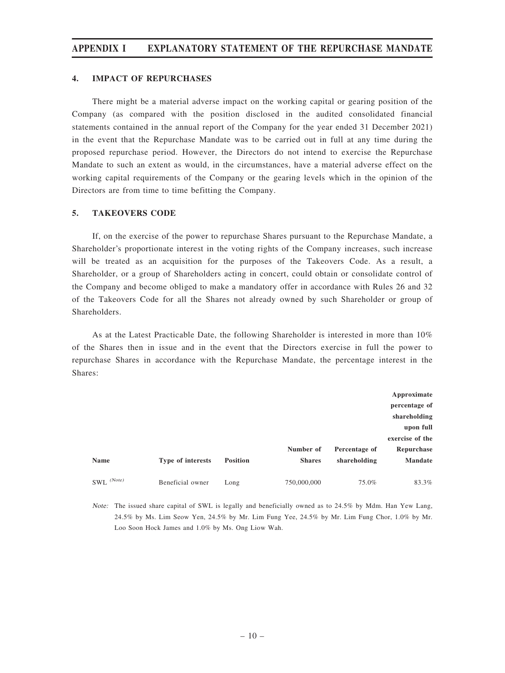### 4. IMPACT OF REPURCHASES

There might be a material adverse impact on the working capital or gearing position of the Company (as compared with the position disclosed in the audited consolidated financial statements contained in the annual report of the Company for the year ended 31 December 2021) in the event that the Repurchase Mandate was to be carried out in full at any time during the proposed repurchase period. However, the Directors do not intend to exercise the Repurchase Mandate to such an extent as would, in the circumstances, have a material adverse effect on the working capital requirements of the Company or the gearing levels which in the opinion of the Directors are from time to time befitting the Company.

### 5. TAKEOVERS CODE

If, on the exercise of the power to repurchase Shares pursuant to the Repurchase Mandate, a Shareholder's proportionate interest in the voting rights of the Company increases, such increase will be treated as an acquisition for the purposes of the Takeovers Code. As a result, a Shareholder, or a group of Shareholders acting in concert, could obtain or consolidate control of the Company and become obliged to make a mandatory offer in accordance with Rules 26 and 32 of the Takeovers Code for all the Shares not already owned by such Shareholder or group of Shareholders.

As at the Latest Practicable Date, the following Shareholder is interested in more than 10% of the Shares then in issue and in the event that the Directors exercise in full the power to repurchase Shares in accordance with the Repurchase Mandate, the percentage interest in the Shares:

|                |                   |                 |               |               | Approximate     |
|----------------|-------------------|-----------------|---------------|---------------|-----------------|
|                |                   |                 |               |               | percentage of   |
|                |                   |                 |               |               | shareholding    |
|                |                   |                 |               |               | upon full       |
|                |                   |                 |               |               | exercise of the |
|                |                   |                 | Number of     | Percentage of | Repurchase      |
| <b>Name</b>    | Type of interests | <b>Position</b> | <b>Shares</b> | shareholding  | <b>Mandate</b>  |
|                |                   |                 |               |               |                 |
| $SWL^{(Note)}$ | Beneficial owner  | Long            | 750,000,000   | 75.0%         | 83.3%           |

Note: The issued share capital of SWL is legally and beneficially owned as to 24.5% by Mdm. Han Yew Lang, 24.5% by Ms. Lim Seow Yen, 24.5% by Mr. Lim Fung Yee, 24.5% by Mr. Lim Fung Chor, 1.0% by Mr. Loo Soon Hock James and 1.0% by Ms. Ong Liow Wah.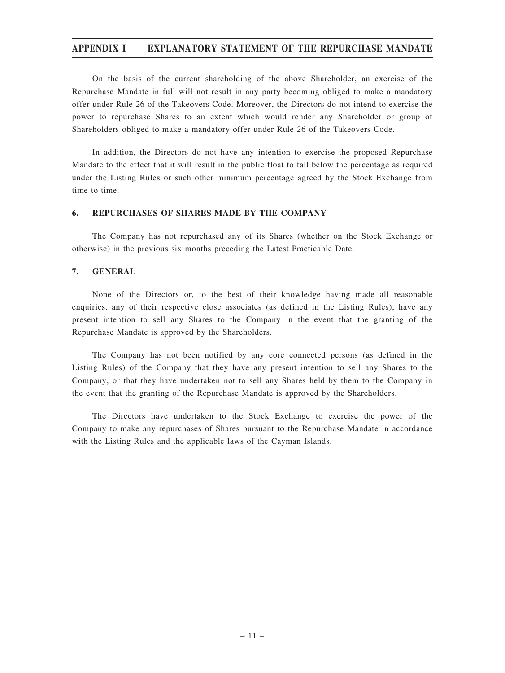On the basis of the current shareholding of the above Shareholder, an exercise of the Repurchase Mandate in full will not result in any party becoming obliged to make a mandatory offer under Rule 26 of the Takeovers Code. Moreover, the Directors do not intend to exercise the power to repurchase Shares to an extent which would render any Shareholder or group of Shareholders obliged to make a mandatory offer under Rule 26 of the Takeovers Code.

In addition, the Directors do not have any intention to exercise the proposed Repurchase Mandate to the effect that it will result in the public float to fall below the percentage as required under the Listing Rules or such other minimum percentage agreed by the Stock Exchange from time to time.

### 6. REPURCHASES OF SHARES MADE BY THE COMPANY

The Company has not repurchased any of its Shares (whether on the Stock Exchange or otherwise) in the previous six months preceding the Latest Practicable Date.

### 7. GENERAL

None of the Directors or, to the best of their knowledge having made all reasonable enquiries, any of their respective close associates (as defined in the Listing Rules), have any present intention to sell any Shares to the Company in the event that the granting of the Repurchase Mandate is approved by the Shareholders.

The Company has not been notified by any core connected persons (as defined in the Listing Rules) of the Company that they have any present intention to sell any Shares to the Company, or that they have undertaken not to sell any Shares held by them to the Company in the event that the granting of the Repurchase Mandate is approved by the Shareholders.

The Directors have undertaken to the Stock Exchange to exercise the power of the Company to make any repurchases of Shares pursuant to the Repurchase Mandate in accordance with the Listing Rules and the applicable laws of the Cayman Islands.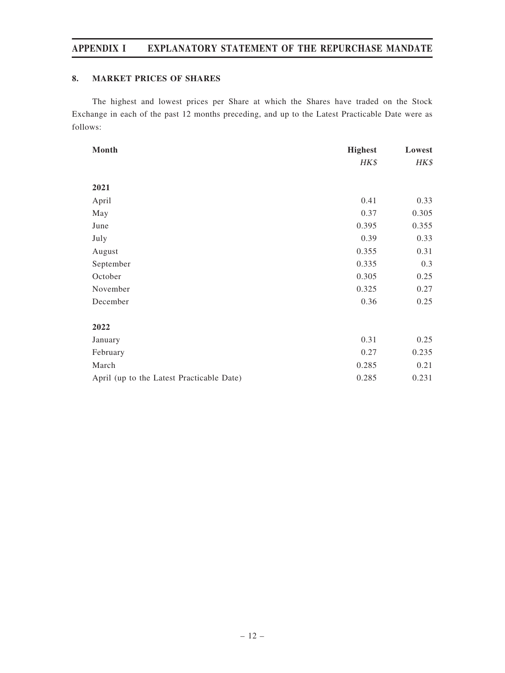### 8. MARKET PRICES OF SHARES

The highest and lowest prices per Share at which the Shares have traded on the Stock Exchange in each of the past 12 months preceding, and up to the Latest Practicable Date were as follows:

| Month                                     | <b>Highest</b> | Lowest |
|-------------------------------------------|----------------|--------|
|                                           | HK\$           | HK\$   |
|                                           |                |        |
| 2021                                      |                |        |
| April                                     | 0.41           | 0.33   |
| May                                       | 0.37           | 0.305  |
| June                                      | 0.395          | 0.355  |
| July                                      | 0.39           | 0.33   |
| August                                    | 0.355          | 0.31   |
| September                                 | 0.335          | 0.3    |
| October                                   | 0.305          | 0.25   |
| November                                  | 0.325          | 0.27   |
| December                                  | 0.36           | 0.25   |
|                                           |                |        |
| 2022                                      |                |        |
| January                                   | 0.31           | 0.25   |
| February                                  | 0.27           | 0.235  |
| March                                     | 0.285          | 0.21   |
| April (up to the Latest Practicable Date) | 0.285          | 0.231  |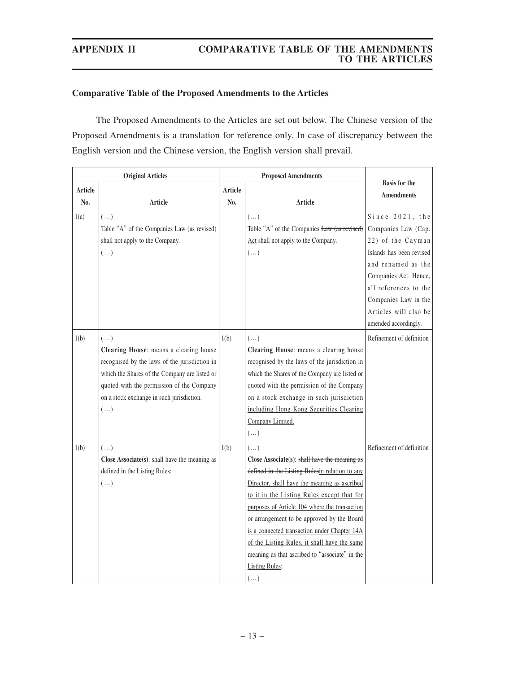# **Comparative Table of the Proposed Amendments to the Articles**

The Proposed Amendments to the Articles are set out below. The Chinese version of the Proposed Amendments is a translation for reference only. In case of discrepancy between the English version and the Chinese version, the English version shall prevail.

|         | <b>Original Articles</b>                                                                                                                                                                                                                                       | <b>Proposed Amendments</b> |                                                                                                                                                                                                                                                                                                                                                                                                                                                                                                       |                                                                                                                                                                                                                                          |
|---------|----------------------------------------------------------------------------------------------------------------------------------------------------------------------------------------------------------------------------------------------------------------|----------------------------|-------------------------------------------------------------------------------------------------------------------------------------------------------------------------------------------------------------------------------------------------------------------------------------------------------------------------------------------------------------------------------------------------------------------------------------------------------------------------------------------------------|------------------------------------------------------------------------------------------------------------------------------------------------------------------------------------------------------------------------------------------|
| Article |                                                                                                                                                                                                                                                                | Article                    |                                                                                                                                                                                                                                                                                                                                                                                                                                                                                                       | <b>Basis</b> for the                                                                                                                                                                                                                     |
| No.     | <b>Article</b>                                                                                                                                                                                                                                                 | No.                        | Article                                                                                                                                                                                                                                                                                                                                                                                                                                                                                               | <b>Amendments</b>                                                                                                                                                                                                                        |
| 1(a)    | $(\dots)$<br>Table "A" of the Companies Law (as revised)<br>shall not apply to the Company.<br>$(\dots)$                                                                                                                                                       |                            | $(\dots)$<br>Table "A" of the Companies Law (as revised)<br>Act shall not apply to the Company.<br>$(\dots)$                                                                                                                                                                                                                                                                                                                                                                                          | Since 2021, the<br>Companies Law (Cap.<br>22) of the Cayman<br>Islands has been revised<br>and renamed as the<br>Companies Act. Hence,<br>all references to the<br>Companies Law in the<br>Articles will also be<br>amended accordingly. |
| 1(b)    | $(\ldots)$<br>Clearing House: means a clearing house<br>recognised by the laws of the jurisdiction in<br>which the Shares of the Company are listed or<br>quoted with the permission of the Company<br>on a stock exchange in such jurisdiction.<br>$(\ldots)$ | 1(b)                       | $(\ldots)$<br>Clearing House: means a clearing house<br>recognised by the laws of the jurisdiction in<br>which the Shares of the Company are listed or<br>quoted with the permission of the Company<br>on a stock exchange in such jurisdiction<br>including Hong Kong Securities Clearing<br>Company Limited.<br>$(\dots)$                                                                                                                                                                           | Refinement of definition                                                                                                                                                                                                                 |
| 1(b)    | $(\ldots)$<br>Close Associate(s): shall have the meaning as<br>defined in the Listing Rules;<br>$(\dots)$                                                                                                                                                      | 1(b)                       | $(\dots)$<br>Close Associate $(s)$ : shall have the meaning as<br>defined in the Listing Rulesin relation to any<br>Director, shall have the meaning as ascribed<br>to it in the Listing Rules except that for<br>purposes of Article 104 where the transaction<br>or arrangement to be approved by the Board<br>is a connected transaction under Chapter 14A<br>of the Listing Rules, it shall have the same<br>meaning as that ascribed to "associate" in the<br><b>Listing Rules;</b><br>$(\dots)$ | Refinement of definition                                                                                                                                                                                                                 |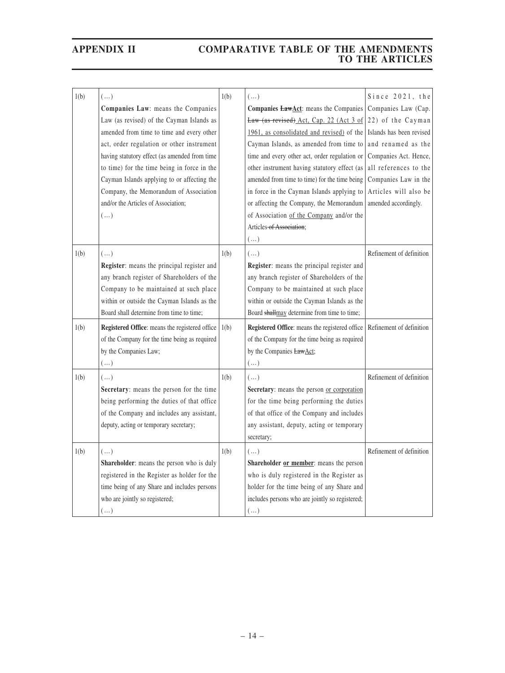| 1(b) | $(\dots)$                                      | 1(b) | $(\dots)$                                                             | Since 2021, the          |
|------|------------------------------------------------|------|-----------------------------------------------------------------------|--------------------------|
|      | Companies Law: means the Companies             |      | Companies <b>LawAct</b> : means the Companies                         | Companies Law (Cap.      |
|      | Law (as revised) of the Cayman Islands as      |      | Law (as revised) Act, Cap. 22 (Act 3 of 22) of the Cayman             |                          |
|      | amended from time to time and every other      |      | $1961$ , as consolidated and revised) of the Islands has been revised |                          |
|      | act, order regulation or other instrument      |      | Cayman Islands, as amended from time to                               | and renamed as the       |
|      | having statutory effect (as amended from time  |      | time and every other act, order regulation or                         | Companies Act. Hence,    |
|      | to time) for the time being in force in the    |      | other instrument having statutory effect (as                          | all references to the    |
|      | Cayman Islands applying to or affecting the    |      | amended from time to time) for the time being                         | Companies Law in the     |
|      | Company, the Memorandum of Association         |      | in force in the Cayman Islands applying to                            | Articles will also be    |
|      | and/or the Articles of Association;            |      | or affecting the Company, the Memorandum                              | amended accordingly.     |
|      | $(\ldots)$                                     |      | of Association of the Company and/or the                              |                          |
|      |                                                |      | Articles of Association:                                              |                          |
|      |                                                |      | $(\dots)$                                                             |                          |
| 1(b) | $(\ldots)$                                     | 1(b) | $(\ldots)$                                                            | Refinement of definition |
|      | Register: means the principal register and     |      | Register: means the principal register and                            |                          |
|      | any branch register of Shareholders of the     |      | any branch register of Shareholders of the                            |                          |
|      | Company to be maintained at such place         |      | Company to be maintained at such place                                |                          |
|      | within or outside the Cayman Islands as the    |      | within or outside the Cayman Islands as the                           |                          |
|      | Board shall determine from time to time;       |      | Board shallmay determine from time to time;                           |                          |
| 1(b) | Registered Office: means the registered office | 1(b) | Registered Office: means the registered office                        | Refinement of definition |
|      | of the Company for the time being as required  |      | of the Company for the time being as required                         |                          |
|      | by the Companies Law;                          |      | by the Companies LawAct;                                              |                          |
|      | $(\,\ldots\,)$                                 |      | $(\dots)$                                                             |                          |
| 1(b) | $(\dots)$                                      | 1(b) | $(\ldots)$                                                            | Refinement of definition |
|      | Secretary: means the person for the time       |      | Secretary: means the person or corporation                            |                          |
|      | being performing the duties of that office     |      | for the time being performing the duties                              |                          |
|      | of the Company and includes any assistant,     |      | of that office of the Company and includes                            |                          |
|      | deputy, acting or temporary secretary;         |      | any assistant, deputy, acting or temporary                            |                          |
|      |                                                |      | secretary;                                                            |                          |
| 1(b) | $(\dots)$                                      | 1(b) | $(\dots)$                                                             | Refinement of definition |
|      | Shareholder: means the person who is duly      |      | Shareholder or member: means the person                               |                          |
|      | registered in the Register as holder for the   |      | who is duly registered in the Register as                             |                          |
|      | time being of any Share and includes persons   |      | holder for the time being of any Share and                            |                          |
|      | who are jointly so registered;                 |      | includes persons who are jointly so registered;                       |                          |
|      | $(\ldots)$                                     |      | $(\ldots)$                                                            |                          |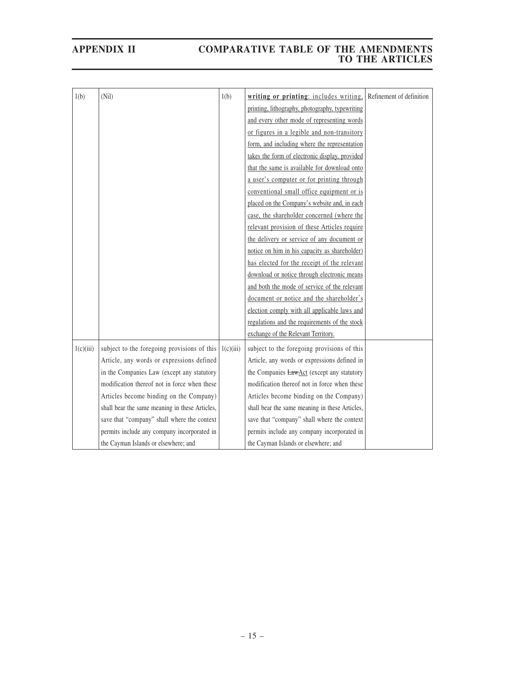| 1(b)      | (Nil)                                          | 1(b)      | writing or printing: includes writing,            | Refinement of definition |
|-----------|------------------------------------------------|-----------|---------------------------------------------------|--------------------------|
|           |                                                |           | printing, lithography, photography, typewriting   |                          |
|           |                                                |           | and every other mode of representing words        |                          |
|           |                                                |           | or figures in a legible and non-transitory        |                          |
|           |                                                |           | form, and including where the representation      |                          |
|           |                                                |           | takes the form of electronic display, provided    |                          |
|           |                                                |           | that the same is available for download onto      |                          |
|           |                                                |           | a user's computer or for printing through         |                          |
|           |                                                |           | conventional small office equipment or is         |                          |
|           |                                                |           | placed on the Company's website and, in each      |                          |
|           |                                                |           | case, the shareholder concerned (where the        |                          |
|           |                                                |           | relevant provision of these Articles require      |                          |
|           |                                                |           | the delivery or service of any document or        |                          |
|           |                                                |           | notice on him in his capacity as shareholder)     |                          |
|           |                                                |           | has elected for the receipt of the relevant       |                          |
|           |                                                |           | download or notice through electronic means       |                          |
|           |                                                |           | and both the mode of service of the relevant      |                          |
|           |                                                |           | document or notice and the shareholder's          |                          |
|           |                                                |           | election comply with all applicable laws and      |                          |
|           |                                                |           | regulations and the requirements of the stock     |                          |
|           |                                                |           | exchange of the Relevant Territory.               |                          |
| 1(c)(iii) | subject to the foregoing provisions of this    | 1(c)(iii) | subject to the foregoing provisions of this       |                          |
|           | Article, any words or expressions defined      |           | Article, any words or expressions defined in      |                          |
|           | in the Companies Law (except any statutory     |           | the Companies <b>LawAct</b> (except any statutory |                          |
|           | modification thereof not in force when these   |           | modification thereof not in force when these      |                          |
|           | Articles become binding on the Company)        |           | Articles become binding on the Company)           |                          |
|           | shall bear the same meaning in these Articles, |           | shall bear the same meaning in these Articles,    |                          |
|           | save that "company" shall where the context    |           | save that "company" shall where the context       |                          |
|           | permits include any company incorporated in    |           | permits include any company incorporated in       |                          |
|           | the Cayman Islands or elsewhere; and           |           | the Cayman Islands or elsewhere; and              |                          |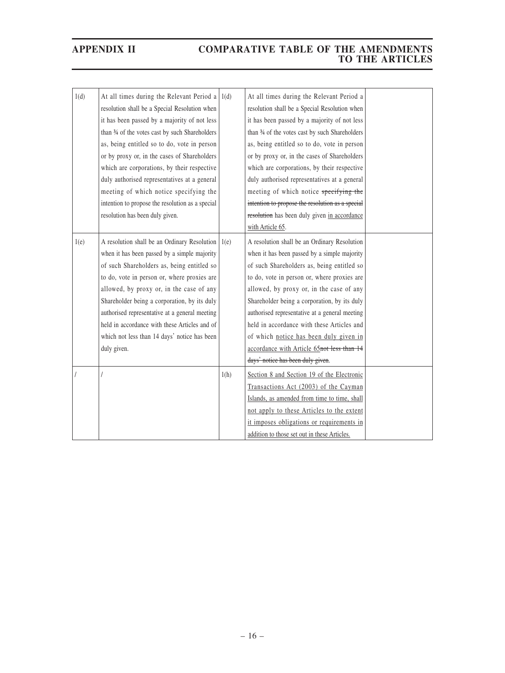| 1(d) | At all times during the Relevant Period a<br>resolution shall be a Special Resolution when<br>it has been passed by a majority of not less<br>than 34 of the votes cast by such Shareholders<br>as, being entitled so to do, vote in person<br>or by proxy or, in the cases of Shareholders<br>which are corporations, by their respective<br>duly authorised representatives at a general<br>meeting of which notice specifying the<br>intention to propose the resolution as a special<br>resolution has been duly given. | 1(d) | At all times during the Relevant Period a<br>resolution shall be a Special Resolution when<br>it has been passed by a majority of not less<br>than 34 of the votes cast by such Shareholders<br>as, being entitled so to do, vote in person<br>or by proxy or, in the cases of Shareholders<br>which are corporations, by their respective<br>duly authorised representatives at a general<br>meeting of which notice specifying the<br>intention to propose the resolution as a special<br>resolution has been duly given in accordance<br>with Article 65. |  |
|------|-----------------------------------------------------------------------------------------------------------------------------------------------------------------------------------------------------------------------------------------------------------------------------------------------------------------------------------------------------------------------------------------------------------------------------------------------------------------------------------------------------------------------------|------|--------------------------------------------------------------------------------------------------------------------------------------------------------------------------------------------------------------------------------------------------------------------------------------------------------------------------------------------------------------------------------------------------------------------------------------------------------------------------------------------------------------------------------------------------------------|--|
| 1(e) | A resolution shall be an Ordinary Resolution<br>when it has been passed by a simple majority<br>of such Shareholders as, being entitled so<br>to do, vote in person or, where proxies are<br>allowed, by proxy or, in the case of any<br>Shareholder being a corporation, by its duly<br>authorised representative at a general meeting<br>held in accordance with these Articles and of<br>which not less than 14 days' notice has been<br>duly given.                                                                     | 1(e) | A resolution shall be an Ordinary Resolution<br>when it has been passed by a simple majority<br>of such Shareholders as, being entitled so<br>to do, vote in person or, where proxies are<br>allowed, by proxy or, in the case of any<br>Shareholder being a corporation, by its duly<br>authorised representative at a general meeting<br>held in accordance with these Articles and<br>of which notice has been duly given in<br>accordance with Article 65not less than 14<br>days' notice has been duly given.                                           |  |
|      |                                                                                                                                                                                                                                                                                                                                                                                                                                                                                                                             | 1(h) | Section 8 and Section 19 of the Electronic<br>Transactions Act (2003) of the Cayman<br>Islands, as amended from time to time, shall<br>not apply to these Articles to the extent<br>it imposes obligations or requirements in<br>addition to those set out in these Articles.                                                                                                                                                                                                                                                                                |  |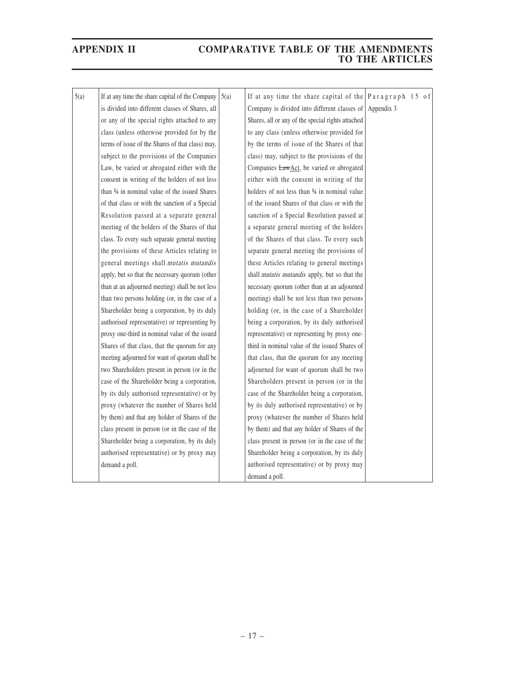| 5(a)<br>If at any time the share capital of the Company<br>If at any time the share capital of the Paragraph 15 of<br>5(a)<br>is divided into different classes of Shares, all<br>Company is divided into different classes of Appendix 3<br>or any of the special rights attached to any<br>Shares, all or any of the special rights attached<br>class (unless otherwise provided for by the<br>to any class (unless otherwise provided for<br>terms of issue of the Shares of that class) may,<br>by the terms of issue of the Shares of that<br>subject to the provisions of the Companies<br>class) may, subject to the provisions of the<br>Law, be varied or abrogated either with the<br>Companies <b>LawAct</b> , be varied or abrogated<br>consent in writing of the holders of not less<br>either with the consent in writing of the<br>than 34 in nominal value of the issued Shares<br>holders of not less than 34 in nominal value<br>of that class or with the sanction of a Special<br>of the issued Shares of that class or with the<br>sanction of a Special Resolution passed at<br>Resolution passed at a separate general<br>meeting of the holders of the Shares of that<br>a separate general meeting of the holders<br>of the Shares of that class. To every such<br>class. To every such separate general meeting<br>the provisions of these Articles relating to<br>separate general meeting the provisions of<br>general meetings shall mutatis mutandis<br>these Articles relating to general meetings<br>apply, but so that the necessary quorum (other<br>shall <i>mutatis mutandis</i> apply, but so that the<br>than at an adjourned meeting) shall be not less<br>necessary quorum (other than at an adjourned<br>than two persons holding (or, in the case of a<br>meeting) shall be not less than two persons<br>Shareholder being a corporation, by its duly<br>holding (or, in the case of a Shareholder<br>authorised representative) or representing by<br>being a corporation, by its duly authorised<br>proxy one-third in nominal value of the issued<br>representative) or representing by proxy one-<br>Shares of that class, that the quorum for any<br>third in nominal value of the issued Shares of<br>meeting adjourned for want of quorum shall be<br>that class, that the quorum for any meeting<br>two Shareholders present in person (or in the<br>adjourned for want of quorum shall be two<br>case of the Shareholder being a corporation,<br>Shareholders present in person (or in the<br>by its duly authorised representative) or by<br>case of the Shareholder being a corporation,<br>proxy (whatever the number of Shares held<br>by its duly authorised representative) or by<br>by them) and that any holder of Shares of the<br>proxy (whatever the number of Shares held<br>class present in person (or in the case of the<br>by them) and that any holder of Shares of the<br>class present in person (or in the case of the<br>Shareholder being a corporation, by its duly<br>authorised representative) or by proxy may<br>Shareholder being a corporation, by its duly<br>demand a poll.<br>authorised representative) or by proxy may<br>demand a poll. |  |  |  |
|-------------------------------------------------------------------------------------------------------------------------------------------------------------------------------------------------------------------------------------------------------------------------------------------------------------------------------------------------------------------------------------------------------------------------------------------------------------------------------------------------------------------------------------------------------------------------------------------------------------------------------------------------------------------------------------------------------------------------------------------------------------------------------------------------------------------------------------------------------------------------------------------------------------------------------------------------------------------------------------------------------------------------------------------------------------------------------------------------------------------------------------------------------------------------------------------------------------------------------------------------------------------------------------------------------------------------------------------------------------------------------------------------------------------------------------------------------------------------------------------------------------------------------------------------------------------------------------------------------------------------------------------------------------------------------------------------------------------------------------------------------------------------------------------------------------------------------------------------------------------------------------------------------------------------------------------------------------------------------------------------------------------------------------------------------------------------------------------------------------------------------------------------------------------------------------------------------------------------------------------------------------------------------------------------------------------------------------------------------------------------------------------------------------------------------------------------------------------------------------------------------------------------------------------------------------------------------------------------------------------------------------------------------------------------------------------------------------------------------------------------------------------------------------------------------------------------------------------------------------------------------------------------------------------------------------------------------------------------------------------------------------------------------------------------------------------------------------------------------------------------------------------------------------------------------------------------------------------------------|--|--|--|
|                                                                                                                                                                                                                                                                                                                                                                                                                                                                                                                                                                                                                                                                                                                                                                                                                                                                                                                                                                                                                                                                                                                                                                                                                                                                                                                                                                                                                                                                                                                                                                                                                                                                                                                                                                                                                                                                                                                                                                                                                                                                                                                                                                                                                                                                                                                                                                                                                                                                                                                                                                                                                                                                                                                                                                                                                                                                                                                                                                                                                                                                                                                                                                                                                               |  |  |  |
|                                                                                                                                                                                                                                                                                                                                                                                                                                                                                                                                                                                                                                                                                                                                                                                                                                                                                                                                                                                                                                                                                                                                                                                                                                                                                                                                                                                                                                                                                                                                                                                                                                                                                                                                                                                                                                                                                                                                                                                                                                                                                                                                                                                                                                                                                                                                                                                                                                                                                                                                                                                                                                                                                                                                                                                                                                                                                                                                                                                                                                                                                                                                                                                                                               |  |  |  |
|                                                                                                                                                                                                                                                                                                                                                                                                                                                                                                                                                                                                                                                                                                                                                                                                                                                                                                                                                                                                                                                                                                                                                                                                                                                                                                                                                                                                                                                                                                                                                                                                                                                                                                                                                                                                                                                                                                                                                                                                                                                                                                                                                                                                                                                                                                                                                                                                                                                                                                                                                                                                                                                                                                                                                                                                                                                                                                                                                                                                                                                                                                                                                                                                                               |  |  |  |
|                                                                                                                                                                                                                                                                                                                                                                                                                                                                                                                                                                                                                                                                                                                                                                                                                                                                                                                                                                                                                                                                                                                                                                                                                                                                                                                                                                                                                                                                                                                                                                                                                                                                                                                                                                                                                                                                                                                                                                                                                                                                                                                                                                                                                                                                                                                                                                                                                                                                                                                                                                                                                                                                                                                                                                                                                                                                                                                                                                                                                                                                                                                                                                                                                               |  |  |  |
|                                                                                                                                                                                                                                                                                                                                                                                                                                                                                                                                                                                                                                                                                                                                                                                                                                                                                                                                                                                                                                                                                                                                                                                                                                                                                                                                                                                                                                                                                                                                                                                                                                                                                                                                                                                                                                                                                                                                                                                                                                                                                                                                                                                                                                                                                                                                                                                                                                                                                                                                                                                                                                                                                                                                                                                                                                                                                                                                                                                                                                                                                                                                                                                                                               |  |  |  |
|                                                                                                                                                                                                                                                                                                                                                                                                                                                                                                                                                                                                                                                                                                                                                                                                                                                                                                                                                                                                                                                                                                                                                                                                                                                                                                                                                                                                                                                                                                                                                                                                                                                                                                                                                                                                                                                                                                                                                                                                                                                                                                                                                                                                                                                                                                                                                                                                                                                                                                                                                                                                                                                                                                                                                                                                                                                                                                                                                                                                                                                                                                                                                                                                                               |  |  |  |
|                                                                                                                                                                                                                                                                                                                                                                                                                                                                                                                                                                                                                                                                                                                                                                                                                                                                                                                                                                                                                                                                                                                                                                                                                                                                                                                                                                                                                                                                                                                                                                                                                                                                                                                                                                                                                                                                                                                                                                                                                                                                                                                                                                                                                                                                                                                                                                                                                                                                                                                                                                                                                                                                                                                                                                                                                                                                                                                                                                                                                                                                                                                                                                                                                               |  |  |  |
|                                                                                                                                                                                                                                                                                                                                                                                                                                                                                                                                                                                                                                                                                                                                                                                                                                                                                                                                                                                                                                                                                                                                                                                                                                                                                                                                                                                                                                                                                                                                                                                                                                                                                                                                                                                                                                                                                                                                                                                                                                                                                                                                                                                                                                                                                                                                                                                                                                                                                                                                                                                                                                                                                                                                                                                                                                                                                                                                                                                                                                                                                                                                                                                                                               |  |  |  |
|                                                                                                                                                                                                                                                                                                                                                                                                                                                                                                                                                                                                                                                                                                                                                                                                                                                                                                                                                                                                                                                                                                                                                                                                                                                                                                                                                                                                                                                                                                                                                                                                                                                                                                                                                                                                                                                                                                                                                                                                                                                                                                                                                                                                                                                                                                                                                                                                                                                                                                                                                                                                                                                                                                                                                                                                                                                                                                                                                                                                                                                                                                                                                                                                                               |  |  |  |
|                                                                                                                                                                                                                                                                                                                                                                                                                                                                                                                                                                                                                                                                                                                                                                                                                                                                                                                                                                                                                                                                                                                                                                                                                                                                                                                                                                                                                                                                                                                                                                                                                                                                                                                                                                                                                                                                                                                                                                                                                                                                                                                                                                                                                                                                                                                                                                                                                                                                                                                                                                                                                                                                                                                                                                                                                                                                                                                                                                                                                                                                                                                                                                                                                               |  |  |  |
|                                                                                                                                                                                                                                                                                                                                                                                                                                                                                                                                                                                                                                                                                                                                                                                                                                                                                                                                                                                                                                                                                                                                                                                                                                                                                                                                                                                                                                                                                                                                                                                                                                                                                                                                                                                                                                                                                                                                                                                                                                                                                                                                                                                                                                                                                                                                                                                                                                                                                                                                                                                                                                                                                                                                                                                                                                                                                                                                                                                                                                                                                                                                                                                                                               |  |  |  |
|                                                                                                                                                                                                                                                                                                                                                                                                                                                                                                                                                                                                                                                                                                                                                                                                                                                                                                                                                                                                                                                                                                                                                                                                                                                                                                                                                                                                                                                                                                                                                                                                                                                                                                                                                                                                                                                                                                                                                                                                                                                                                                                                                                                                                                                                                                                                                                                                                                                                                                                                                                                                                                                                                                                                                                                                                                                                                                                                                                                                                                                                                                                                                                                                                               |  |  |  |
|                                                                                                                                                                                                                                                                                                                                                                                                                                                                                                                                                                                                                                                                                                                                                                                                                                                                                                                                                                                                                                                                                                                                                                                                                                                                                                                                                                                                                                                                                                                                                                                                                                                                                                                                                                                                                                                                                                                                                                                                                                                                                                                                                                                                                                                                                                                                                                                                                                                                                                                                                                                                                                                                                                                                                                                                                                                                                                                                                                                                                                                                                                                                                                                                                               |  |  |  |
|                                                                                                                                                                                                                                                                                                                                                                                                                                                                                                                                                                                                                                                                                                                                                                                                                                                                                                                                                                                                                                                                                                                                                                                                                                                                                                                                                                                                                                                                                                                                                                                                                                                                                                                                                                                                                                                                                                                                                                                                                                                                                                                                                                                                                                                                                                                                                                                                                                                                                                                                                                                                                                                                                                                                                                                                                                                                                                                                                                                                                                                                                                                                                                                                                               |  |  |  |
|                                                                                                                                                                                                                                                                                                                                                                                                                                                                                                                                                                                                                                                                                                                                                                                                                                                                                                                                                                                                                                                                                                                                                                                                                                                                                                                                                                                                                                                                                                                                                                                                                                                                                                                                                                                                                                                                                                                                                                                                                                                                                                                                                                                                                                                                                                                                                                                                                                                                                                                                                                                                                                                                                                                                                                                                                                                                                                                                                                                                                                                                                                                                                                                                                               |  |  |  |
|                                                                                                                                                                                                                                                                                                                                                                                                                                                                                                                                                                                                                                                                                                                                                                                                                                                                                                                                                                                                                                                                                                                                                                                                                                                                                                                                                                                                                                                                                                                                                                                                                                                                                                                                                                                                                                                                                                                                                                                                                                                                                                                                                                                                                                                                                                                                                                                                                                                                                                                                                                                                                                                                                                                                                                                                                                                                                                                                                                                                                                                                                                                                                                                                                               |  |  |  |
|                                                                                                                                                                                                                                                                                                                                                                                                                                                                                                                                                                                                                                                                                                                                                                                                                                                                                                                                                                                                                                                                                                                                                                                                                                                                                                                                                                                                                                                                                                                                                                                                                                                                                                                                                                                                                                                                                                                                                                                                                                                                                                                                                                                                                                                                                                                                                                                                                                                                                                                                                                                                                                                                                                                                                                                                                                                                                                                                                                                                                                                                                                                                                                                                                               |  |  |  |
|                                                                                                                                                                                                                                                                                                                                                                                                                                                                                                                                                                                                                                                                                                                                                                                                                                                                                                                                                                                                                                                                                                                                                                                                                                                                                                                                                                                                                                                                                                                                                                                                                                                                                                                                                                                                                                                                                                                                                                                                                                                                                                                                                                                                                                                                                                                                                                                                                                                                                                                                                                                                                                                                                                                                                                                                                                                                                                                                                                                                                                                                                                                                                                                                                               |  |  |  |
|                                                                                                                                                                                                                                                                                                                                                                                                                                                                                                                                                                                                                                                                                                                                                                                                                                                                                                                                                                                                                                                                                                                                                                                                                                                                                                                                                                                                                                                                                                                                                                                                                                                                                                                                                                                                                                                                                                                                                                                                                                                                                                                                                                                                                                                                                                                                                                                                                                                                                                                                                                                                                                                                                                                                                                                                                                                                                                                                                                                                                                                                                                                                                                                                                               |  |  |  |
|                                                                                                                                                                                                                                                                                                                                                                                                                                                                                                                                                                                                                                                                                                                                                                                                                                                                                                                                                                                                                                                                                                                                                                                                                                                                                                                                                                                                                                                                                                                                                                                                                                                                                                                                                                                                                                                                                                                                                                                                                                                                                                                                                                                                                                                                                                                                                                                                                                                                                                                                                                                                                                                                                                                                                                                                                                                                                                                                                                                                                                                                                                                                                                                                                               |  |  |  |
|                                                                                                                                                                                                                                                                                                                                                                                                                                                                                                                                                                                                                                                                                                                                                                                                                                                                                                                                                                                                                                                                                                                                                                                                                                                                                                                                                                                                                                                                                                                                                                                                                                                                                                                                                                                                                                                                                                                                                                                                                                                                                                                                                                                                                                                                                                                                                                                                                                                                                                                                                                                                                                                                                                                                                                                                                                                                                                                                                                                                                                                                                                                                                                                                                               |  |  |  |
|                                                                                                                                                                                                                                                                                                                                                                                                                                                                                                                                                                                                                                                                                                                                                                                                                                                                                                                                                                                                                                                                                                                                                                                                                                                                                                                                                                                                                                                                                                                                                                                                                                                                                                                                                                                                                                                                                                                                                                                                                                                                                                                                                                                                                                                                                                                                                                                                                                                                                                                                                                                                                                                                                                                                                                                                                                                                                                                                                                                                                                                                                                                                                                                                                               |  |  |  |
|                                                                                                                                                                                                                                                                                                                                                                                                                                                                                                                                                                                                                                                                                                                                                                                                                                                                                                                                                                                                                                                                                                                                                                                                                                                                                                                                                                                                                                                                                                                                                                                                                                                                                                                                                                                                                                                                                                                                                                                                                                                                                                                                                                                                                                                                                                                                                                                                                                                                                                                                                                                                                                                                                                                                                                                                                                                                                                                                                                                                                                                                                                                                                                                                                               |  |  |  |
|                                                                                                                                                                                                                                                                                                                                                                                                                                                                                                                                                                                                                                                                                                                                                                                                                                                                                                                                                                                                                                                                                                                                                                                                                                                                                                                                                                                                                                                                                                                                                                                                                                                                                                                                                                                                                                                                                                                                                                                                                                                                                                                                                                                                                                                                                                                                                                                                                                                                                                                                                                                                                                                                                                                                                                                                                                                                                                                                                                                                                                                                                                                                                                                                                               |  |  |  |
|                                                                                                                                                                                                                                                                                                                                                                                                                                                                                                                                                                                                                                                                                                                                                                                                                                                                                                                                                                                                                                                                                                                                                                                                                                                                                                                                                                                                                                                                                                                                                                                                                                                                                                                                                                                                                                                                                                                                                                                                                                                                                                                                                                                                                                                                                                                                                                                                                                                                                                                                                                                                                                                                                                                                                                                                                                                                                                                                                                                                                                                                                                                                                                                                                               |  |  |  |
|                                                                                                                                                                                                                                                                                                                                                                                                                                                                                                                                                                                                                                                                                                                                                                                                                                                                                                                                                                                                                                                                                                                                                                                                                                                                                                                                                                                                                                                                                                                                                                                                                                                                                                                                                                                                                                                                                                                                                                                                                                                                                                                                                                                                                                                                                                                                                                                                                                                                                                                                                                                                                                                                                                                                                                                                                                                                                                                                                                                                                                                                                                                                                                                                                               |  |  |  |
|                                                                                                                                                                                                                                                                                                                                                                                                                                                                                                                                                                                                                                                                                                                                                                                                                                                                                                                                                                                                                                                                                                                                                                                                                                                                                                                                                                                                                                                                                                                                                                                                                                                                                                                                                                                                                                                                                                                                                                                                                                                                                                                                                                                                                                                                                                                                                                                                                                                                                                                                                                                                                                                                                                                                                                                                                                                                                                                                                                                                                                                                                                                                                                                                                               |  |  |  |
|                                                                                                                                                                                                                                                                                                                                                                                                                                                                                                                                                                                                                                                                                                                                                                                                                                                                                                                                                                                                                                                                                                                                                                                                                                                                                                                                                                                                                                                                                                                                                                                                                                                                                                                                                                                                                                                                                                                                                                                                                                                                                                                                                                                                                                                                                                                                                                                                                                                                                                                                                                                                                                                                                                                                                                                                                                                                                                                                                                                                                                                                                                                                                                                                                               |  |  |  |
|                                                                                                                                                                                                                                                                                                                                                                                                                                                                                                                                                                                                                                                                                                                                                                                                                                                                                                                                                                                                                                                                                                                                                                                                                                                                                                                                                                                                                                                                                                                                                                                                                                                                                                                                                                                                                                                                                                                                                                                                                                                                                                                                                                                                                                                                                                                                                                                                                                                                                                                                                                                                                                                                                                                                                                                                                                                                                                                                                                                                                                                                                                                                                                                                                               |  |  |  |
|                                                                                                                                                                                                                                                                                                                                                                                                                                                                                                                                                                                                                                                                                                                                                                                                                                                                                                                                                                                                                                                                                                                                                                                                                                                                                                                                                                                                                                                                                                                                                                                                                                                                                                                                                                                                                                                                                                                                                                                                                                                                                                                                                                                                                                                                                                                                                                                                                                                                                                                                                                                                                                                                                                                                                                                                                                                                                                                                                                                                                                                                                                                                                                                                                               |  |  |  |
|                                                                                                                                                                                                                                                                                                                                                                                                                                                                                                                                                                                                                                                                                                                                                                                                                                                                                                                                                                                                                                                                                                                                                                                                                                                                                                                                                                                                                                                                                                                                                                                                                                                                                                                                                                                                                                                                                                                                                                                                                                                                                                                                                                                                                                                                                                                                                                                                                                                                                                                                                                                                                                                                                                                                                                                                                                                                                                                                                                                                                                                                                                                                                                                                                               |  |  |  |
|                                                                                                                                                                                                                                                                                                                                                                                                                                                                                                                                                                                                                                                                                                                                                                                                                                                                                                                                                                                                                                                                                                                                                                                                                                                                                                                                                                                                                                                                                                                                                                                                                                                                                                                                                                                                                                                                                                                                                                                                                                                                                                                                                                                                                                                                                                                                                                                                                                                                                                                                                                                                                                                                                                                                                                                                                                                                                                                                                                                                                                                                                                                                                                                                                               |  |  |  |
|                                                                                                                                                                                                                                                                                                                                                                                                                                                                                                                                                                                                                                                                                                                                                                                                                                                                                                                                                                                                                                                                                                                                                                                                                                                                                                                                                                                                                                                                                                                                                                                                                                                                                                                                                                                                                                                                                                                                                                                                                                                                                                                                                                                                                                                                                                                                                                                                                                                                                                                                                                                                                                                                                                                                                                                                                                                                                                                                                                                                                                                                                                                                                                                                                               |  |  |  |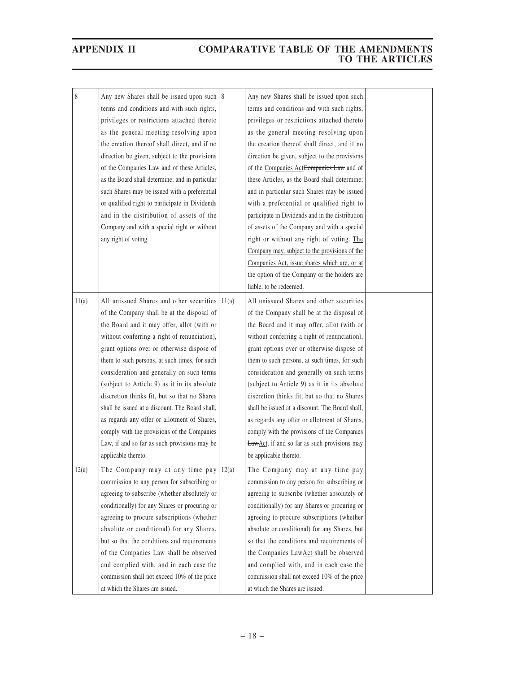| 8     | Any new Shares shall be issued upon such 8<br>terms and conditions and with such rights, |       | Any new Shares shall be issued upon such<br>terms and conditions and with such rights, |  |
|-------|------------------------------------------------------------------------------------------|-------|----------------------------------------------------------------------------------------|--|
|       | privileges or restrictions attached thereto                                              |       | privileges or restrictions attached thereto                                            |  |
|       | as the general meeting resolving upon                                                    |       | as the general meeting resolving upon                                                  |  |
|       | the creation thereof shall direct, and if no                                             |       | the creation thereof shall direct, and if no                                           |  |
|       | direction be given, subject to the provisions                                            |       | direction be given, subject to the provisions                                          |  |
|       | of the Companies Law and of these Articles,                                              |       | of the Companies ActCompanies Law and of                                               |  |
|       | as the Board shall determine; and in particular                                          |       | these Articles, as the Board shall determine;                                          |  |
|       | such Shares may be issued with a preferential                                            |       | and in particular such Shares may be issued                                            |  |
|       | or qualified right to participate in Dividends                                           |       | with a preferential or qualified right to                                              |  |
|       | and in the distribution of assets of the                                                 |       | participate in Dividends and in the distribution                                       |  |
|       | Company and with a special right or without                                              |       | of assets of the Company and with a special                                            |  |
|       | any right of voting.                                                                     |       | right or without any right of voting. The                                              |  |
|       |                                                                                          |       | Company may, subject to the provisions of the                                          |  |
|       |                                                                                          |       | Companies Act, issue shares which are, or at                                           |  |
|       |                                                                                          |       | the option of the Company or the holders are                                           |  |
|       |                                                                                          |       | liable, to be redeemed.                                                                |  |
| 11(a) | All unissued Shares and other securities                                                 | 11(a) | All unissued Shares and other securities                                               |  |
|       | of the Company shall be at the disposal of                                               |       | of the Company shall be at the disposal of                                             |  |
|       | the Board and it may offer, allot (with or                                               |       | the Board and it may offer, allot (with or                                             |  |
|       | without conferring a right of renunciation),                                             |       | without conferring a right of renunciation),                                           |  |
|       | grant options over or otherwise dispose of                                               |       | grant options over or otherwise dispose of                                             |  |
|       | them to such persons, at such times, for such                                            |       | them to such persons, at such times, for such                                          |  |
|       | consideration and generally on such terms                                                |       | consideration and generally on such terms                                              |  |
|       | (subject to Article 9) as it in its absolute                                             |       | (subject to Article 9) as it in its absolute                                           |  |
|       | discretion thinks fit, but so that no Shares                                             |       | discretion thinks fit, but so that no Shares                                           |  |
|       | shall be issued at a discount. The Board shall,                                          |       | shall be issued at a discount. The Board shall,                                        |  |
|       | as regards any offer or allotment of Shares,                                             |       | as regards any offer or allotment of Shares,                                           |  |
|       | comply with the provisions of the Companies                                              |       | comply with the provisions of the Companies                                            |  |
|       | Law, if and so far as such provisions may be                                             |       | <b>LawAct</b> , if and so far as such provisions may                                   |  |
|       | applicable thereto.                                                                      |       | be applicable thereto.                                                                 |  |
| 12(a) | The Company may at any time pay                                                          | 12(a) | The Company may at any time pay                                                        |  |
|       | commission to any person for subscribing or                                              |       | commission to any person for subscribing or                                            |  |
|       | agreeing to subscribe (whether absolutely or                                             |       | agreeing to subscribe (whether absolutely or                                           |  |
|       | conditionally) for any Shares or procuring or                                            |       | conditionally) for any Shares or procuring or                                          |  |
|       | agreeing to procure subscriptions (whether                                               |       | agreeing to procure subscriptions (whether                                             |  |
|       | absolute or conditional) for any Shares,                                                 |       | absolute or conditional) for any Shares, but                                           |  |
|       | but so that the conditions and requirements                                              |       | so that the conditions and requirements of                                             |  |
|       | of the Companies Law shall be observed                                                   |       | the Companies LawAct shall be observed                                                 |  |
|       | and complied with, and in each case the                                                  |       | and complied with, and in each case the                                                |  |
|       | commission shall not exceed 10% of the price                                             |       | commission shall not exceed 10% of the price                                           |  |
|       | at which the Shares are issued.                                                          |       | at which the Shares are issued.                                                        |  |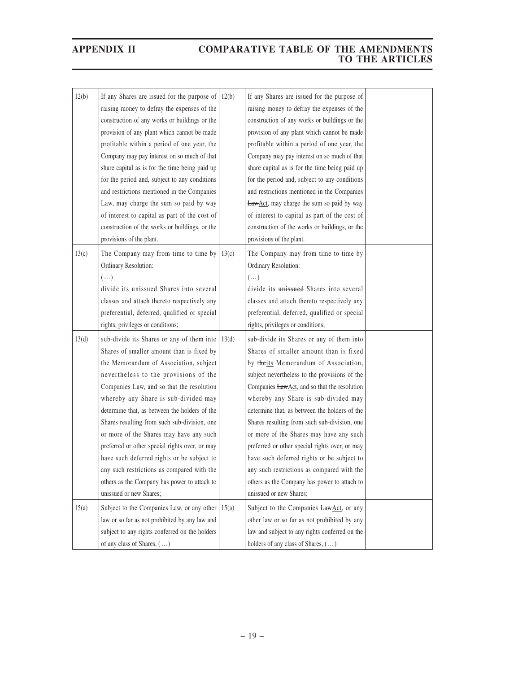| 12(b) | If any Shares are issued for the purpose of<br>raising money to defray the expenses of the<br>construction of any works or buildings or the<br>provision of any plant which cannot be made<br>profitable within a period of one year, the | 12(b) | If any Shares are issued for the purpose of<br>raising money to defray the expenses of the<br>construction of any works or buildings or the<br>provision of any plant which cannot be made<br>profitable within a period of one year, the |  |
|-------|-------------------------------------------------------------------------------------------------------------------------------------------------------------------------------------------------------------------------------------------|-------|-------------------------------------------------------------------------------------------------------------------------------------------------------------------------------------------------------------------------------------------|--|
|       | Company may pay interest on so much of that                                                                                                                                                                                               |       | Company may pay interest on so much of that                                                                                                                                                                                               |  |
|       | share capital as is for the time being paid up                                                                                                                                                                                            |       | share capital as is for the time being paid up                                                                                                                                                                                            |  |
|       | for the period and, subject to any conditions                                                                                                                                                                                             |       | for the period and, subject to any conditions                                                                                                                                                                                             |  |
|       | and restrictions mentioned in the Companies                                                                                                                                                                                               |       | and restrictions mentioned in the Companies                                                                                                                                                                                               |  |
|       | Law, may charge the sum so paid by way                                                                                                                                                                                                    |       | <b>LawAct</b> , may charge the sum so paid by way                                                                                                                                                                                         |  |
|       | of interest to capital as part of the cost of                                                                                                                                                                                             |       | of interest to capital as part of the cost of                                                                                                                                                                                             |  |
|       | construction of the works or buildings, or the                                                                                                                                                                                            |       | construction of the works or buildings, or the                                                                                                                                                                                            |  |
|       | provisions of the plant.                                                                                                                                                                                                                  |       | provisions of the plant.                                                                                                                                                                                                                  |  |
| 13(c) | The Company may from time to time by                                                                                                                                                                                                      | 13(c) | The Company may from time to time by                                                                                                                                                                                                      |  |
|       | Ordinary Resolution:                                                                                                                                                                                                                      |       | Ordinary Resolution:                                                                                                                                                                                                                      |  |
|       | $(\ldots)$                                                                                                                                                                                                                                |       | $(\ldots)$                                                                                                                                                                                                                                |  |
|       | divide its unissued Shares into several                                                                                                                                                                                                   |       | divide its unissued Shares into several                                                                                                                                                                                                   |  |
|       | classes and attach thereto respectively any                                                                                                                                                                                               |       | classes and attach thereto respectively any                                                                                                                                                                                               |  |
|       | preferential, deferred, qualified or special                                                                                                                                                                                              |       | preferential, deferred, qualified or special                                                                                                                                                                                              |  |
|       | rights, privileges or conditions;                                                                                                                                                                                                         |       | rights, privileges or conditions;                                                                                                                                                                                                         |  |
| 13(d) | sub-divide its Shares or any of them into $  13(d)$                                                                                                                                                                                       |       | sub-divide its Shares or any of them into                                                                                                                                                                                                 |  |
|       | Shares of smaller amount than is fixed by                                                                                                                                                                                                 |       | Shares of smaller amount than is fixed                                                                                                                                                                                                    |  |
|       | the Memorandum of Association, subject                                                                                                                                                                                                    |       | by theits Memorandum of Association,                                                                                                                                                                                                      |  |
|       | nevertheless to the provisions of the                                                                                                                                                                                                     |       | subject nevertheless to the provisions of the                                                                                                                                                                                             |  |
|       | Companies Law, and so that the resolution                                                                                                                                                                                                 |       | Companies LawAct, and so that the resolution                                                                                                                                                                                              |  |
|       | whereby any Share is sub-divided may                                                                                                                                                                                                      |       | whereby any Share is sub-divided may                                                                                                                                                                                                      |  |
|       | determine that, as between the holders of the                                                                                                                                                                                             |       | determine that, as between the holders of the                                                                                                                                                                                             |  |
|       | Shares resulting from such sub-division, one                                                                                                                                                                                              |       | Shares resulting from such sub-division, one                                                                                                                                                                                              |  |
|       | or more of the Shares may have any such                                                                                                                                                                                                   |       | or more of the Shares may have any such                                                                                                                                                                                                   |  |
|       | preferred or other special rights over, or may                                                                                                                                                                                            |       | preferred or other special rights over, or may                                                                                                                                                                                            |  |
|       | have such deferred rights or be subject to<br>any such restrictions as compared with the                                                                                                                                                  |       | have such deferred rights or be subject to<br>any such restrictions as compared with the                                                                                                                                                  |  |
|       | others as the Company has power to attach to                                                                                                                                                                                              |       | others as the Company has power to attach to                                                                                                                                                                                              |  |
|       | unissued or new Shares;                                                                                                                                                                                                                   |       | unissued or new Shares;                                                                                                                                                                                                                   |  |
|       |                                                                                                                                                                                                                                           |       |                                                                                                                                                                                                                                           |  |
| 15(a) | Subject to the Companies Law, or any other                                                                                                                                                                                                | 15(a) | Subject to the Companies LawAct, or any                                                                                                                                                                                                   |  |
|       | law or so far as not prohibited by any law and                                                                                                                                                                                            |       | other law or so far as not prohibited by any                                                                                                                                                                                              |  |
|       | subject to any rights conferred on the holders                                                                                                                                                                                            |       | law and subject to any rights conferred on the                                                                                                                                                                                            |  |
|       | of any class of Shares, ()                                                                                                                                                                                                                |       | holders of any class of Shares, ()                                                                                                                                                                                                        |  |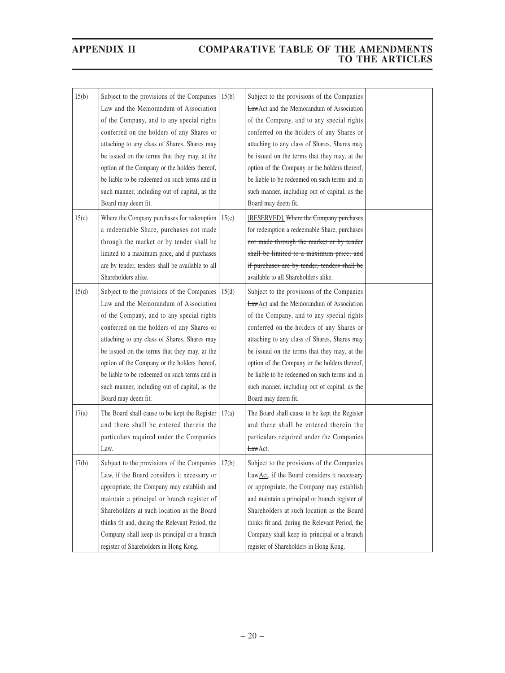| 15(b) | Subject to the provisions of the Companies           | 15(b) | Subject to the provisions of the Companies          |  |
|-------|------------------------------------------------------|-------|-----------------------------------------------------|--|
|       | Law and the Memorandum of Association                |       | <b>LawAct</b> and the Memorandum of Association     |  |
|       | of the Company, and to any special rights            |       | of the Company, and to any special rights           |  |
|       | conferred on the holders of any Shares or            |       | conferred on the holders of any Shares or           |  |
|       | attaching to any class of Shares, Shares may         |       | attaching to any class of Shares, Shares may        |  |
|       | be issued on the terms that they may, at the         |       | be issued on the terms that they may, at the        |  |
|       | option of the Company or the holders thereof,        |       | option of the Company or the holders thereof,       |  |
|       | be liable to be redeemed on such terms and in        |       | be liable to be redeemed on such terms and in       |  |
|       | such manner, including out of capital, as the        |       | such manner, including out of capital, as the       |  |
|       | Board may deem fit.                                  |       | Board may deem fit.                                 |  |
| 15(c) | Where the Company purchases for redemption           | 15(c) | [RESERVED]. Where the Company purchases             |  |
|       | a redeemable Share, purchases not made               |       | for redemption a redeemable Share, purchases        |  |
|       | through the market or by tender shall be             |       | not made through the market or by tender            |  |
|       | limited to a maximum price, and if purchases         |       | shall be limited to a maximum price, and            |  |
|       | are by tender, tenders shall be available to all     |       | if purchases are by tender, tenders shall be        |  |
|       | Shareholders alike.                                  |       | available to all Shareholders alike.                |  |
| 15(d) | Subject to the provisions of the Companies           | 15(d) | Subject to the provisions of the Companies          |  |
|       | Law and the Memorandum of Association                |       | <b>LawAct</b> and the Memorandum of Association     |  |
|       | of the Company, and to any special rights            |       | of the Company, and to any special rights           |  |
|       | conferred on the holders of any Shares or            |       | conferred on the holders of any Shares or           |  |
|       | attaching to any class of Shares, Shares may         |       | attaching to any class of Shares, Shares may        |  |
|       | be issued on the terms that they may, at the         |       | be issued on the terms that they may, at the        |  |
|       | option of the Company or the holders thereof,        |       | option of the Company or the holders thereof,       |  |
|       | be liable to be redeemed on such terms and in        |       | be liable to be redeemed on such terms and in       |  |
|       | such manner, including out of capital, as the        |       | such manner, including out of capital, as the       |  |
|       | Board may deem fit.                                  |       | Board may deem fit.                                 |  |
| 17(a) | The Board shall cause to be kept the Register        | 17(a) | The Board shall cause to be kept the Register       |  |
|       | and there shall be entered therein the               |       | and there shall be entered therein the              |  |
|       | particulars required under the Companies             |       | particulars required under the Companies            |  |
|       | Law.                                                 |       | LawAct.                                             |  |
| 17(b) | Subject to the provisions of the Companies $  17(b)$ |       | Subject to the provisions of the Companies          |  |
|       | Law, if the Board considers it necessary or          |       | <b>LawAct</b> , if the Board considers it necessary |  |
|       | appropriate, the Company may establish and           |       | or appropriate, the Company may establish           |  |
|       | maintain a principal or branch register of           |       | and maintain a principal or branch register of      |  |
|       | Shareholders at such location as the Board           |       | Shareholders at such location as the Board          |  |
|       | thinks fit and, during the Relevant Period, the      |       | thinks fit and, during the Relevant Period, the     |  |
|       | Company shall keep its principal or a branch         |       | Company shall keep its principal or a branch        |  |
|       | register of Shareholders in Hong Kong.               |       | register of Shareholders in Hong Kong.              |  |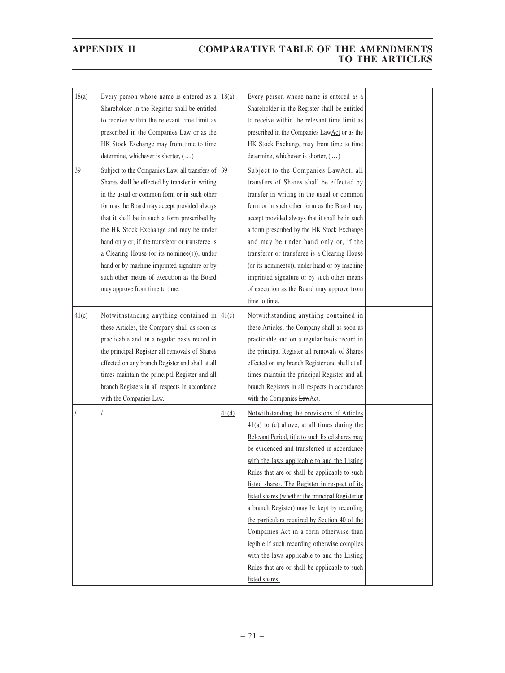| 18(a) | Every person whose name is entered as a<br>Shareholder in the Register shall be entitled<br>to receive within the relevant time limit as<br>prescribed in the Companies Law or as the<br>HK Stock Exchange may from time to time<br>determine, whichever is shorter, ()                                                                                                                                                                                                                                                            | 18(a) | Every person whose name is entered as a<br>Shareholder in the Register shall be entitled<br>to receive within the relevant time limit as<br>prescribed in the Companies LawAct or as the<br>HK Stock Exchange may from time to time<br>determine, whichever is shorter, ()                                                                                                                                                                                                                                                                                                                                                                                                                                     |  |
|-------|------------------------------------------------------------------------------------------------------------------------------------------------------------------------------------------------------------------------------------------------------------------------------------------------------------------------------------------------------------------------------------------------------------------------------------------------------------------------------------------------------------------------------------|-------|----------------------------------------------------------------------------------------------------------------------------------------------------------------------------------------------------------------------------------------------------------------------------------------------------------------------------------------------------------------------------------------------------------------------------------------------------------------------------------------------------------------------------------------------------------------------------------------------------------------------------------------------------------------------------------------------------------------|--|
| 39    | Subject to the Companies Law, all transfers of 39<br>Shares shall be effected by transfer in writing<br>in the usual or common form or in such other<br>form as the Board may accept provided always<br>that it shall be in such a form prescribed by<br>the HK Stock Exchange and may be under<br>hand only or, if the transferor or transferee is<br>a Clearing House (or its nominee(s)), under<br>hand or by machine imprinted signature or by<br>such other means of execution as the Board<br>may approve from time to time. |       | Subject to the Companies LawAct, all<br>transfers of Shares shall be effected by<br>transfer in writing in the usual or common<br>form or in such other form as the Board may<br>accept provided always that it shall be in such<br>a form prescribed by the HK Stock Exchange<br>and may be under hand only or, if the<br>transferor or transferee is a Clearing House<br>(or its nominee(s)), under hand or by machine<br>imprinted signature or by such other means<br>of execution as the Board may approve from<br>time to time.                                                                                                                                                                          |  |
| 41(c) | Notwithstanding anything contained in $ 41(c) $<br>these Articles, the Company shall as soon as<br>practicable and on a regular basis record in<br>the principal Register all removals of Shares<br>effected on any branch Register and shall at all<br>times maintain the principal Register and all<br>branch Registers in all respects in accordance<br>with the Companies Law.                                                                                                                                                 |       | Notwithstanding anything contained in<br>these Articles, the Company shall as soon as<br>practicable and on a regular basis record in<br>the principal Register all removals of Shares<br>effected on any branch Register and shall at all<br>times maintain the principal Register and all<br>branch Registers in all respects in accordance<br>with the Companies <b>LawAct</b> .                                                                                                                                                                                                                                                                                                                            |  |
|       |                                                                                                                                                                                                                                                                                                                                                                                                                                                                                                                                    | 41(d) | Notwithstanding the provisions of Articles<br>$41(a)$ to (c) above, at all times during the<br>Relevant Period, title to such listed shares may<br>be evidenced and transferred in accordance<br>with the laws applicable to and the Listing<br>Rules that are or shall be applicable to such<br>listed shares. The Register in respect of its<br>listed shares (whether the principal Register or<br>a branch Register) may be kept by recording<br>the particulars required by Section 40 of the<br>Companies Act in a form otherwise than<br>legible if such recording otherwise complies<br>with the laws applicable to and the Listing<br>Rules that are or shall be applicable to such<br>listed shares. |  |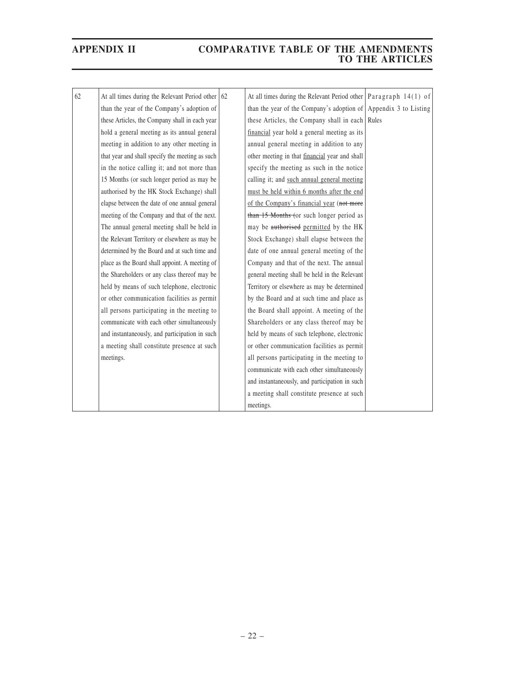| 62 | At all times during the Relevant Period other   | 62 | At all times during the Relevant Period other   Paragraph $14(1)$ of |  |
|----|-------------------------------------------------|----|----------------------------------------------------------------------|--|
|    | than the year of the Company's adoption of      |    | than the year of the Company's adoption of Appendix 3 to Listing     |  |
|    | these Articles, the Company shall in each year  |    | these Articles, the Company shall in each Rules                      |  |
|    | hold a general meeting as its annual general    |    | financial year hold a general meeting as its                         |  |
|    | meeting in addition to any other meeting in     |    | annual general meeting in addition to any                            |  |
|    | that year and shall specify the meeting as such |    | other meeting in that financial year and shall                       |  |
|    | in the notice calling it; and not more than     |    | specify the meeting as such in the notice                            |  |
|    | 15 Months (or such longer period as may be      |    | calling it; and such annual general meeting                          |  |
|    | authorised by the HK Stock Exchange) shall      |    | must be held within 6 months after the end                           |  |
|    | elapse between the date of one annual general   |    | of the Company's financial year (not more                            |  |
|    | meeting of the Company and that of the next.    |    | than 15 Months (or such longer period as                             |  |
|    | The annual general meeting shall be held in     |    | may be authorised permitted by the HK                                |  |
|    | the Relevant Territory or elsewhere as may be   |    | Stock Exchange) shall elapse between the                             |  |
|    | determined by the Board and at such time and    |    | date of one annual general meeting of the                            |  |
|    | place as the Board shall appoint. A meeting of  |    | Company and that of the next. The annual                             |  |
|    | the Shareholders or any class thereof may be    |    | general meeting shall be held in the Relevant                        |  |
|    | held by means of such telephone, electronic     |    | Territory or elsewhere as may be determined                          |  |
|    | or other communication facilities as permit     |    | by the Board and at such time and place as                           |  |
|    | all persons participating in the meeting to     |    | the Board shall appoint. A meeting of the                            |  |
|    | communicate with each other simultaneously      |    | Shareholders or any class thereof may be                             |  |
|    | and instantaneously, and participation in such  |    | held by means of such telephone, electronic                          |  |
|    | a meeting shall constitute presence at such     |    | or other communication facilities as permit                          |  |
|    | meetings.                                       |    | all persons participating in the meeting to                          |  |
|    |                                                 |    | communicate with each other simultaneously                           |  |
|    |                                                 |    | and instantaneously, and participation in such                       |  |
|    |                                                 |    | a meeting shall constitute presence at such                          |  |
|    |                                                 |    | meetings.                                                            |  |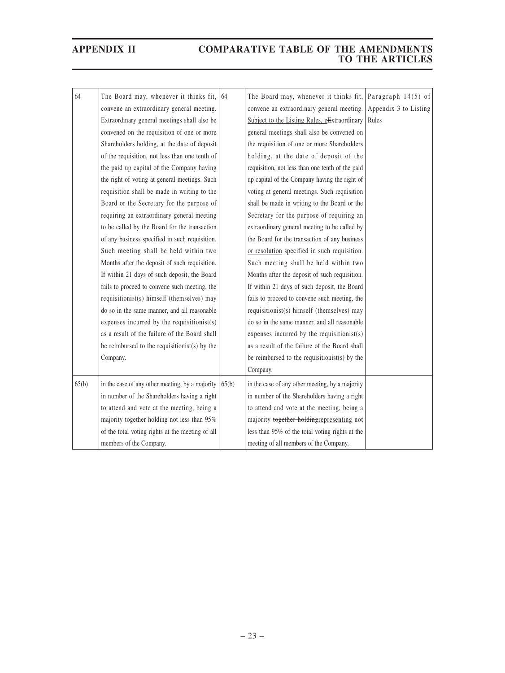| 64    | The Board may, whenever it thinks fit,           | 64    | The Board may, whenever it thinks fit,           | Paragraph 14(5) of    |
|-------|--------------------------------------------------|-------|--------------------------------------------------|-----------------------|
|       | convene an extraordinary general meeting.        |       | convene an extraordinary general meeting.        | Appendix 3 to Listing |
|       | Extraordinary general meetings shall also be     |       | Subject to the Listing Rules, eExtraordinary     | Rules                 |
|       | convened on the requisition of one or more       |       | general meetings shall also be convened on       |                       |
|       | Shareholders holding, at the date of deposit     |       | the requisition of one or more Shareholders      |                       |
|       | of the requisition, not less than one tenth of   |       | holding, at the date of deposit of the           |                       |
|       | the paid up capital of the Company having        |       | requisition, not less than one tenth of the paid |                       |
|       | the right of voting at general meetings. Such    |       | up capital of the Company having the right of    |                       |
|       | requisition shall be made in writing to the      |       | voting at general meetings. Such requisition     |                       |
|       | Board or the Secretary for the purpose of        |       | shall be made in writing to the Board or the     |                       |
|       | requiring an extraordinary general meeting       |       | Secretary for the purpose of requiring an        |                       |
|       | to be called by the Board for the transaction    |       | extraordinary general meeting to be called by    |                       |
|       | of any business specified in such requisition.   |       | the Board for the transaction of any business    |                       |
|       | Such meeting shall be held within two            |       | or resolution specified in such requisition.     |                       |
|       | Months after the deposit of such requisition.    |       | Such meeting shall be held within two            |                       |
|       | If within 21 days of such deposit, the Board     |       | Months after the deposit of such requisition.    |                       |
|       | fails to proceed to convene such meeting, the    |       | If within 21 days of such deposit, the Board     |                       |
|       | requisitionist(s) himself (themselves) may       |       | fails to proceed to convene such meeting, the    |                       |
|       | do so in the same manner, and all reasonable     |       | requisitionist(s) himself (themselves) may       |                       |
|       | expenses incurred by the requisitionist(s)       |       | do so in the same manner, and all reasonable     |                       |
|       | as a result of the failure of the Board shall    |       | expenses incurred by the requisitionist $(s)$    |                       |
|       | be reimbursed to the requisitionist(s) by the    |       | as a result of the failure of the Board shall    |                       |
|       | Company.                                         |       | be reimbursed to the requisitionist(s) by the    |                       |
|       |                                                  |       | Company.                                         |                       |
| 65(b) | in the case of any other meeting, by a majority  | 65(b) | in the case of any other meeting, by a majority  |                       |
|       | in number of the Shareholders having a right     |       | in number of the Shareholders having a right     |                       |
|       | to attend and vote at the meeting, being a       |       | to attend and vote at the meeting, being a       |                       |
|       | majority together holding not less than 95%      |       | majority together holdingrepresenting not        |                       |
|       | of the total voting rights at the meeting of all |       | less than 95% of the total voting rights at the  |                       |
|       | members of the Company.                          |       | meeting of all members of the Company.           |                       |
|       |                                                  |       |                                                  |                       |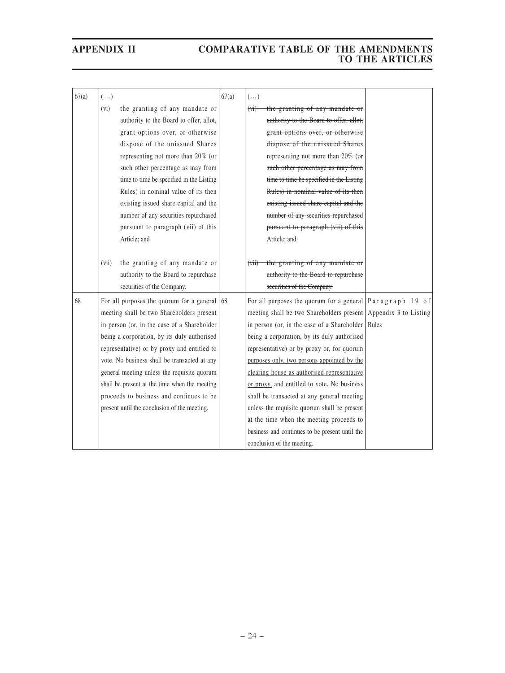| 67(a) | $(\ldots)$ |                                                      | 67(a) | $(\ldots)$                                                          |  |
|-------|------------|------------------------------------------------------|-------|---------------------------------------------------------------------|--|
|       | (vi)       | the granting of any mandate or                       |       | the granting of any mandate or<br>(v <sub>i</sub> )                 |  |
|       |            | authority to the Board to offer, allot,              |       | authority to the Board to offer, allot,                             |  |
|       |            | grant options over, or otherwise                     |       | grant options over, or otherwise                                    |  |
|       |            | dispose of the unissued Shares                       |       | dispose of the unissued Shares                                      |  |
|       |            | representing not more than 20% (or                   |       | representing not more than 20% (or                                  |  |
|       |            | such other percentage as may from                    |       | such other percentage as may from                                   |  |
|       |            | time to time be specified in the Listing             |       | time to time be specified in the Listing                            |  |
|       |            | Rules) in nominal value of its then                  |       | Rules) in nominal value of its then                                 |  |
|       |            | existing issued share capital and the                |       | existing issued share capital and the                               |  |
|       |            | number of any securities repurchased                 |       | number of any securities repurchased                                |  |
|       |            | pursuant to paragraph (vii) of this                  |       | pursuant to paragraph (vii) of this                                 |  |
|       |            | Article; and                                         |       | Article; and                                                        |  |
|       |            |                                                      |       |                                                                     |  |
|       | (vii)      | the granting of any mandate or                       |       | $(vii)$ the granting of any mandate or                              |  |
|       |            | authority to the Board to repurchase                 |       | authority to the Board to repurchase                                |  |
|       |            | securities of the Company.                           |       | securities of the Company.                                          |  |
| 68    |            | For all purposes the quorum for a general $\vert$ 68 |       | For all purposes the quorum for a general $\sqrt{P}$ aragraph 19 of |  |
|       |            | meeting shall be two Shareholders present            |       | meeting shall be two Shareholders present Appendix 3 to Listing     |  |
|       |            | in person (or, in the case of a Shareholder          |       | in person (or, in the case of a Shareholder   Rules                 |  |
|       |            | being a corporation, by its duly authorised          |       | being a corporation, by its duly authorised                         |  |
|       |            | representative) or by proxy and entitled to          |       | representative) or by proxy or, for quorum                          |  |
|       |            | vote. No business shall be transacted at any         |       | purposes only, two persons appointed by the                         |  |
|       |            | general meeting unless the requisite quorum          |       | clearing house as authorised representative                         |  |
|       |            | shall be present at the time when the meeting        |       | or proxy, and entitled to vote. No business                         |  |
|       |            | proceeds to business and continues to be             |       | shall be transacted at any general meeting                          |  |
|       |            | present until the conclusion of the meeting.         |       | unless the requisite quorum shall be present                        |  |
|       |            |                                                      |       | at the time when the meeting proceeds to                            |  |
|       |            |                                                      |       | business and continues to be present until the                      |  |
|       |            |                                                      |       | conclusion of the meeting.                                          |  |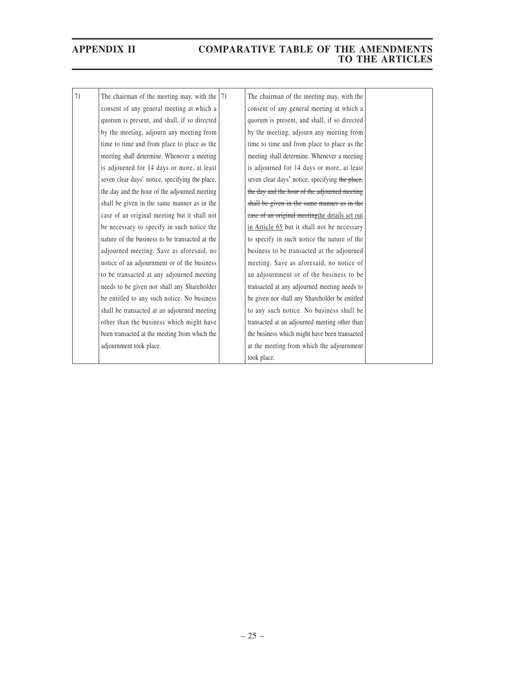| 71 | The chairman of the meeting may, with the $ 71$<br>consent of any general meeting at which a<br>quorum is present, and shall, if so directed<br>by the meeting, adjourn any meeting from<br>time to time and from place to place as the<br>meeting shall determine. Whenever a meeting<br>is adjourned for 14 days or more, at least<br>seven clear days' notice, specifying the place,<br>the day and the hour of the adjourned meeting<br>shall be given in the same manner as in the<br>case of an original meeting but it shall not<br>be necessary to specify in such notice the<br>nature of the business to be transacted at the<br>adjourned meeting. Save as aforesaid, no<br>notice of an adjournment or of the business<br>to be transacted at any adjourned meeting<br>needs to be given nor shall any Shareholder<br>be entitled to any such notice. No business<br>shall be transacted at an adjourned meeting<br>other than the business which might have<br>been transacted at the meeting from which the | The chairman of the meeting may, with the<br>consent of any general meeting at which a<br>quorum is present, and shall, if so directed<br>by the meeting, adjourn any meeting from<br>time to time and from place to place as the<br>meeting shall determine. Whenever a meeting<br>is adjourned for 14 days or more, at least<br>seven clear days' notice, specifying the place,<br>the day and the hour of the adjourned meeting<br>shall be given in the same manner as in the<br>ease of an original meeting the details set out<br>in Article 65 but it shall not be necessary<br>to specify in such notice the nature of the<br>business to be transacted at the adjourned<br>meeting. Save as aforesaid, no notice of<br>an adjournment or of the business to be<br>transacted at any adjourned meeting needs to<br>be given nor shall any Shareholder be entitled<br>to any such notice. No business shall be<br>transacted at an adjourned meeting other than<br>the business which might have been transacted |  |
|----|---------------------------------------------------------------------------------------------------------------------------------------------------------------------------------------------------------------------------------------------------------------------------------------------------------------------------------------------------------------------------------------------------------------------------------------------------------------------------------------------------------------------------------------------------------------------------------------------------------------------------------------------------------------------------------------------------------------------------------------------------------------------------------------------------------------------------------------------------------------------------------------------------------------------------------------------------------------------------------------------------------------------------|-------------------------------------------------------------------------------------------------------------------------------------------------------------------------------------------------------------------------------------------------------------------------------------------------------------------------------------------------------------------------------------------------------------------------------------------------------------------------------------------------------------------------------------------------------------------------------------------------------------------------------------------------------------------------------------------------------------------------------------------------------------------------------------------------------------------------------------------------------------------------------------------------------------------------------------------------------------------------------------------------------------------------|--|
|    |                                                                                                                                                                                                                                                                                                                                                                                                                                                                                                                                                                                                                                                                                                                                                                                                                                                                                                                                                                                                                           |                                                                                                                                                                                                                                                                                                                                                                                                                                                                                                                                                                                                                                                                                                                                                                                                                                                                                                                                                                                                                         |  |
|    | adjournment took place.                                                                                                                                                                                                                                                                                                                                                                                                                                                                                                                                                                                                                                                                                                                                                                                                                                                                                                                                                                                                   | at the meeting from which the adjournment                                                                                                                                                                                                                                                                                                                                                                                                                                                                                                                                                                                                                                                                                                                                                                                                                                                                                                                                                                               |  |
|    |                                                                                                                                                                                                                                                                                                                                                                                                                                                                                                                                                                                                                                                                                                                                                                                                                                                                                                                                                                                                                           | took place.                                                                                                                                                                                                                                                                                                                                                                                                                                                                                                                                                                                                                                                                                                                                                                                                                                                                                                                                                                                                             |  |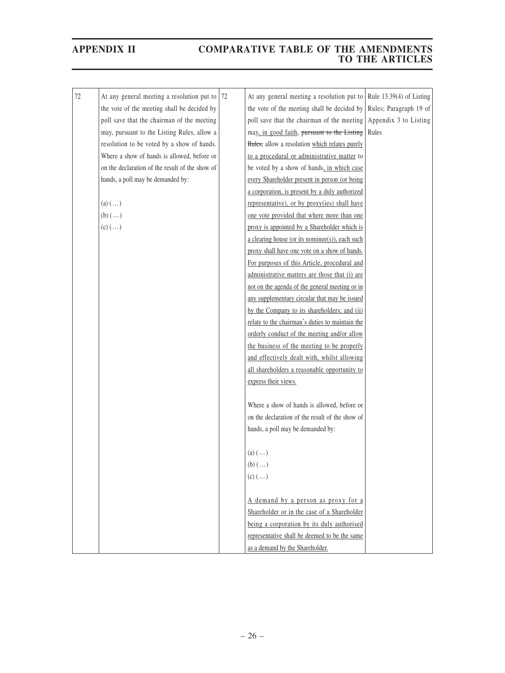| 72 | At any general meeting a resolution put to      | 72 | At any general meeting a resolution put to                       | Rule $13.39(4)$ of Listing |
|----|-------------------------------------------------|----|------------------------------------------------------------------|----------------------------|
|    | the vote of the meeting shall be decided by     |    | the vote of the meeting shall be decided by                      | Rules; Paragraph 19 of     |
|    | poll save that the chairman of the meeting      |    | poll save that the chairman of the meeting Appendix 3 to Listing |                            |
|    | may, pursuant to the Listing Rules, allow a     |    | may, in good faith, pursuant to the Listing                      | Rules                      |
|    | resolution to be voted by a show of hands.      |    | Rules, allow a resolution which relates purely                   |                            |
|    | Where a show of hands is allowed, before or     |    | to a procedural or administrative matter to                      |                            |
|    | on the declaration of the result of the show of |    | be voted by a show of hands, in which case                       |                            |
|    | hands, a poll may be demanded by:               |    | every Shareholder present in person (or being                    |                            |
|    |                                                 |    | a corporation, is present by a duly authorized                   |                            |
|    | (a) $(\ldots)$                                  |    | representative), or by proxy(ies) shall have                     |                            |
|    | $(b)$ $()$                                      |    | one vote provided that where more than one                       |                            |
|    | $(c)$ $(\ldots)$                                |    | proxy is appointed by a Shareholder which is                     |                            |
|    |                                                 |    | a clearing house (or its nominee(s)), each such                  |                            |
|    |                                                 |    | proxy shall have one vote on a show of hands.                    |                            |
|    |                                                 |    | For purposes of this Article, procedural and                     |                            |
|    |                                                 |    | administrative matters are those that (i) are                    |                            |
|    |                                                 |    | not on the agenda of the general meeting or in                   |                            |
|    |                                                 |    | any supplementary circular that may be issued                    |                            |
|    |                                                 |    | by the Company to its shareholders; and (ii)                     |                            |
|    |                                                 |    | relate to the chairman's duties to maintain the                  |                            |
|    |                                                 |    | orderly conduct of the meeting and/or allow                      |                            |
|    |                                                 |    | the business of the meeting to be properly                       |                            |
|    |                                                 |    | and effectively dealt with, whilst allowing                      |                            |
|    |                                                 |    | all shareholders a reasonable opportunity to                     |                            |
|    |                                                 |    | express their views.                                             |                            |
|    |                                                 |    |                                                                  |                            |
|    |                                                 |    | Where a show of hands is allowed, before or                      |                            |
|    |                                                 |    | on the declaration of the result of the show of                  |                            |
|    |                                                 |    | hands, a poll may be demanded by:                                |                            |
|    |                                                 |    |                                                                  |                            |
|    |                                                 |    | $(a)$ $()$                                                       |                            |
|    |                                                 |    | $(b)$ $()$                                                       |                            |
|    |                                                 |    | $(c)$ $(\ldots)$                                                 |                            |
|    |                                                 |    |                                                                  |                            |
|    |                                                 |    | A demand by a person as proxy for a                              |                            |
|    |                                                 |    | Shareholder or in the case of a Shareholder                      |                            |
|    |                                                 |    | being a corporation by its duly authorised                       |                            |
|    |                                                 |    | representative shall be deemed to be the same                    |                            |
|    |                                                 |    | as a demand by the Shareholder.                                  |                            |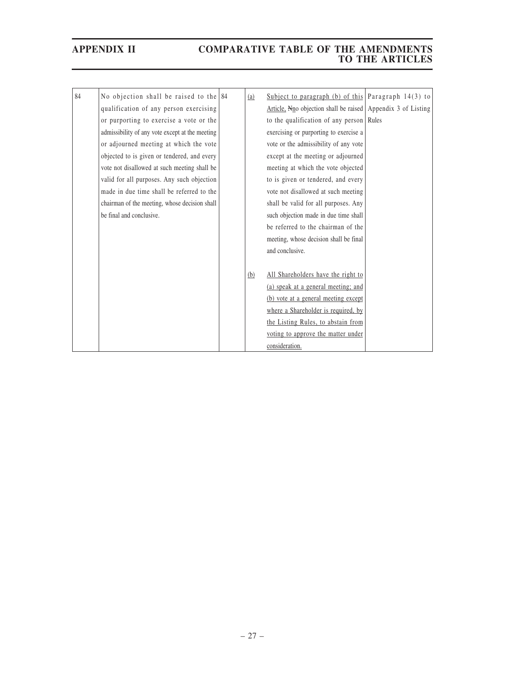| 84 | No objection shall be raised to the $84$        | (a) | Subject to paragraph (b) of this Paragraph $14(3)$ to                    |  |
|----|-------------------------------------------------|-----|--------------------------------------------------------------------------|--|
|    | qualification of any person exercising          |     | Article, $N_{\text{no}}$ objection shall be raised Appendix 3 of Listing |  |
|    | or purporting to exercise a vote or the         |     | to the qualification of any person Rules                                 |  |
|    | admissibility of any vote except at the meeting |     | exercising or purporting to exercise a                                   |  |
|    | or adjourned meeting at which the vote          |     | vote or the admissibility of any vote                                    |  |
|    | objected to is given or tendered, and every     |     | except at the meeting or adjourned                                       |  |
|    | vote not disallowed at such meeting shall be    |     | meeting at which the vote objected                                       |  |
|    | valid for all purposes. Any such objection      |     | to is given or tendered, and every                                       |  |
|    | made in due time shall be referred to the       |     | vote not disallowed at such meeting                                      |  |
|    | chairman of the meeting, whose decision shall   |     | shall be valid for all purposes. Any                                     |  |
|    | be final and conclusive.                        |     | such objection made in due time shall                                    |  |
|    |                                                 |     | be referred to the chairman of the                                       |  |
|    |                                                 |     | meeting, whose decision shall be final                                   |  |
|    |                                                 |     | and conclusive.                                                          |  |
|    |                                                 |     |                                                                          |  |
|    |                                                 | (b) | All Shareholders have the right to                                       |  |
|    |                                                 |     | (a) speak at a general meeting; and                                      |  |
|    |                                                 |     | (b) vote at a general meeting except                                     |  |
|    |                                                 |     | where a Shareholder is required, by                                      |  |
|    |                                                 |     | the Listing Rules, to abstain from                                       |  |
|    |                                                 |     | voting to approve the matter under                                       |  |
|    |                                                 |     | consideration.                                                           |  |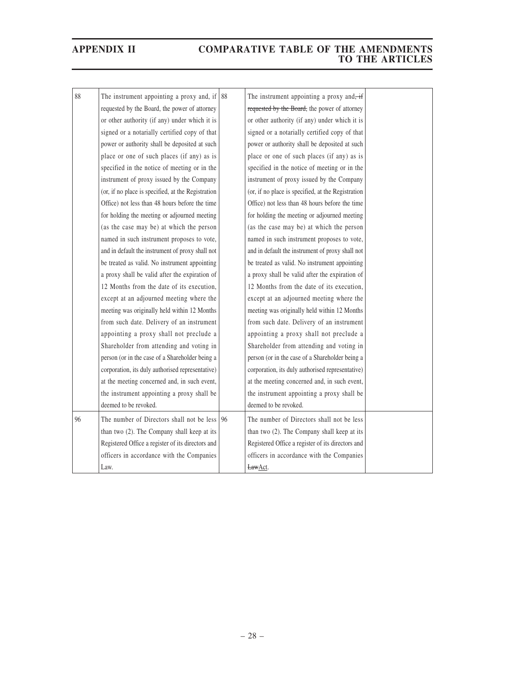| 88 | The instrument appointing a proxy and, if $ 88\rangle$ |    | The instrument appointing a proxy and $\div$       |  |
|----|--------------------------------------------------------|----|----------------------------------------------------|--|
|    | requested by the Board, the power of attorney          |    | requested by the Board, the power of attorney      |  |
|    | or other authority (if any) under which it is          |    | or other authority (if any) under which it is      |  |
|    | signed or a notarially certified copy of that          |    | signed or a notarially certified copy of that      |  |
|    | power or authority shall be deposited at such          |    | power or authority shall be deposited at such      |  |
|    | place or one of such places (if any) as is             |    | place or one of such places (if any) as is         |  |
|    | specified in the notice of meeting or in the           |    | specified in the notice of meeting or in the       |  |
|    | instrument of proxy issued by the Company              |    | instrument of proxy issued by the Company          |  |
|    | (or, if no place is specified, at the Registration     |    | (or, if no place is specified, at the Registration |  |
|    | Office) not less than 48 hours before the time         |    | Office) not less than 48 hours before the time     |  |
|    | for holding the meeting or adjourned meeting           |    | for holding the meeting or adjourned meeting       |  |
|    | (as the case may be) at which the person               |    | (as the case may be) at which the person           |  |
|    | named in such instrument proposes to vote,             |    | named in such instrument proposes to vote,         |  |
|    | and in default the instrument of proxy shall not       |    | and in default the instrument of proxy shall not   |  |
|    | be treated as valid. No instrument appointing          |    | be treated as valid. No instrument appointing      |  |
|    | a proxy shall be valid after the expiration of         |    | a proxy shall be valid after the expiration of     |  |
|    | 12 Months from the date of its execution,              |    | 12 Months from the date of its execution,          |  |
|    | except at an adjourned meeting where the               |    | except at an adjourned meeting where the           |  |
|    | meeting was originally held within 12 Months           |    | meeting was originally held within 12 Months       |  |
|    | from such date. Delivery of an instrument              |    | from such date. Delivery of an instrument          |  |
|    | appointing a proxy shall not preclude a                |    | appointing a proxy shall not preclude a            |  |
|    | Shareholder from attending and voting in               |    | Shareholder from attending and voting in           |  |
|    | person (or in the case of a Shareholder being a        |    | person (or in the case of a Shareholder being a    |  |
|    | corporation, its duly authorised representative)       |    | corporation, its duly authorised representative)   |  |
|    | at the meeting concerned and, in such event,           |    | at the meeting concerned and, in such event,       |  |
|    | the instrument appointing a proxy shall be             |    | the instrument appointing a proxy shall be         |  |
|    | deemed to be revoked.                                  |    | deemed to be revoked.                              |  |
| 96 | The number of Directors shall not be less              | 96 | The number of Directors shall not be less          |  |
|    | than two (2). The Company shall keep at its            |    | than two (2). The Company shall keep at its        |  |
|    | Registered Office a register of its directors and      |    | Registered Office a register of its directors and  |  |
|    | officers in accordance with the Companies              |    | officers in accordance with the Companies          |  |
|    | Law.                                                   |    | LawAct.                                            |  |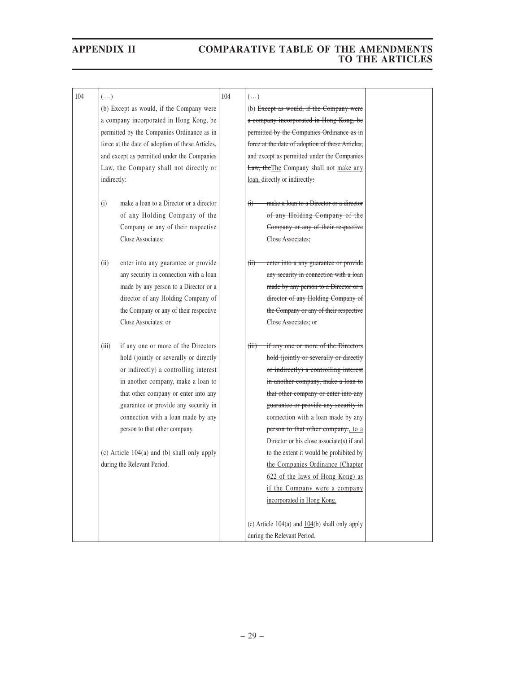| 104 | $(\ldots)$  |                                                    | 104 | $(\dots)$                                                       |  |
|-----|-------------|----------------------------------------------------|-----|-----------------------------------------------------------------|--|
|     |             | (b) Except as would, if the Company were           |     | (b) Except as would, if the Company were                        |  |
|     |             | a company incorporated in Hong Kong, be            |     | a company incorporated in Hong Kong, be                         |  |
|     |             | permitted by the Companies Ordinance as in         |     | permitted by the Companies Ordinance as in                      |  |
|     |             | force at the date of adoption of these Articles,   |     | force at the date of adoption of these Articles,                |  |
|     |             | and except as permitted under the Companies        |     | and except as permitted under the Companies                     |  |
|     |             | Law, the Company shall not directly or             |     | Law, the The Company shall not make any                         |  |
|     | indirectly: |                                                    |     | loan, directly or indirectly:                                   |  |
|     |             |                                                    |     |                                                                 |  |
|     | (i)         | make a loan to a Director or a director            |     | make a loan to a Director or a director<br>$\oplus$             |  |
|     |             | of any Holding Company of the                      |     | of any Holding Company of the                                   |  |
|     |             | Company or any of their respective                 |     | Company or any of their respective                              |  |
|     |             | Close Associates;                                  |     | Close Associates:                                               |  |
|     |             |                                                    |     |                                                                 |  |
|     | (ii)        | enter into any guarantee or provide                |     | enter into a any guarantee or provide<br>(ii)                   |  |
|     |             | any security in connection with a loan             |     | any security in connection with a loan                          |  |
|     |             | made by any person to a Director or a              |     | made by any person to a Director or a                           |  |
|     |             | director of any Holding Company of                 |     | director of any Holding Company of                              |  |
|     |             | the Company or any of their respective             |     | the Company or any of their respective                          |  |
|     |             | Close Associates; or                               |     | Close Associates; or                                            |  |
|     |             |                                                    |     |                                                                 |  |
|     | (iii)       | if any one or more of the Directors                |     | $\overline{\text{fiii}}$<br>if any one or more of the Directors |  |
|     |             | hold (jointly or severally or directly             |     | hold (jointly or severally or directly                          |  |
|     |             | or indirectly) a controlling interest              |     | or indirectly) a controlling interest                           |  |
|     |             | in another company, make a loan to                 |     | in another company, make a loan to                              |  |
|     |             | that other company or enter into any               |     | that other company or enter into any                            |  |
|     |             | guarantee or provide any security in               |     | guarantee or provide any security in                            |  |
|     |             | connection with a loan made by any                 |     | connection with a loan made by any                              |  |
|     |             | person to that other company.                      |     | person to that other company., to a                             |  |
|     |             |                                                    |     | Director or his close associate(s) if and                       |  |
|     |             | $(c)$ Article 104 $(a)$ and $(b)$ shall only apply |     | to the extent it would be prohibited by                         |  |
|     |             | during the Relevant Period.                        |     | the Companies Ordinance (Chapter                                |  |
|     |             |                                                    |     | 622 of the laws of Hong Kong) as                                |  |
|     |             |                                                    |     | if the Company were a company                                   |  |
|     |             |                                                    |     | incorporated in Hong Kong.                                      |  |
|     |             |                                                    |     |                                                                 |  |
|     |             |                                                    |     | (c) Article $104(a)$ and $104(b)$ shall only apply              |  |
|     |             |                                                    |     | during the Relevant Period.                                     |  |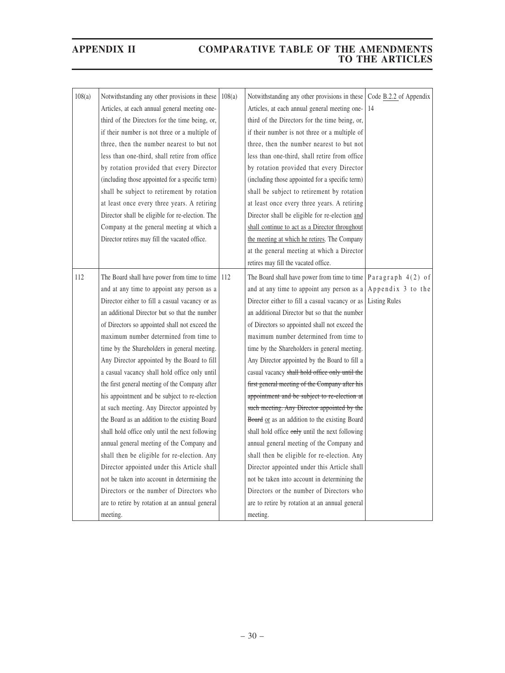| 108(a) | Notwithstanding any other provisions in these    |        | Notwithstanding any other provisions in these                             | Code B.2.2 of Appendix |
|--------|--------------------------------------------------|--------|---------------------------------------------------------------------------|------------------------|
|        |                                                  | 108(a) |                                                                           |                        |
|        | Articles, at each annual general meeting one-    |        | Articles, at each annual general meeting one-                             | 14                     |
|        | third of the Directors for the time being, or,   |        | third of the Directors for the time being, or,                            |                        |
|        | if their number is not three or a multiple of    |        | if their number is not three or a multiple of                             |                        |
|        | three, then the number nearest to but not        |        | three, then the number nearest to but not                                 |                        |
|        | less than one-third, shall retire from office    |        | less than one-third, shall retire from office                             |                        |
|        | by rotation provided that every Director         |        | by rotation provided that every Director                                  |                        |
|        | (including those appointed for a specific term)  |        | (including those appointed for a specific term)                           |                        |
|        | shall be subject to retirement by rotation       |        | shall be subject to retirement by rotation                                |                        |
|        | at least once every three years. A retiring      |        | at least once every three years. A retiring                               |                        |
|        | Director shall be eligible for re-election. The  |        | Director shall be eligible for re-election and                            |                        |
|        | Company at the general meeting at which a        |        | shall continue to act as a Director throughout                            |                        |
|        | Director retires may fill the vacated office.    |        | the meeting at which he retires. The Company                              |                        |
|        |                                                  |        | at the general meeting at which a Director                                |                        |
|        |                                                  |        | retires may fill the vacated office.                                      |                        |
| 112    | The Board shall have power from time to time 112 |        | The Board shall have power from time to time $\sqrt{P}$ Paragraph 4(2) of |                        |
|        | and at any time to appoint any person as a       |        | and at any time to appoint any person as a                                | Appendix 3 to the      |
|        | Director either to fill a casual vacancy or as   |        | Director either to fill a casual vacancy or as                            | <b>Listing Rules</b>   |
|        | an additional Director but so that the number    |        | an additional Director but so that the number                             |                        |
|        | of Directors so appointed shall not exceed the   |        | of Directors so appointed shall not exceed the                            |                        |
|        | maximum number determined from time to           |        | maximum number determined from time to                                    |                        |
|        |                                                  |        |                                                                           |                        |
|        | time by the Shareholders in general meeting.     |        | time by the Shareholders in general meeting.                              |                        |
|        | Any Director appointed by the Board to fill      |        | Any Director appointed by the Board to fill a                             |                        |
|        | a casual vacancy shall hold office only until    |        | casual vacancy shall hold office only until the                           |                        |
|        | the first general meeting of the Company after   |        | first general meeting of the Company after his                            |                        |
|        | his appointment and be subject to re-election    |        | appointment and be subject to re-election at                              |                        |
|        | at such meeting. Any Director appointed by       |        | such meeting. Any Director appointed by the                               |                        |
|        | the Board as an addition to the existing Board   |        | Board or as an addition to the existing Board                             |                        |
|        | shall hold office only until the next following  |        | shall hold office only until the next following                           |                        |
|        | annual general meeting of the Company and        |        | annual general meeting of the Company and                                 |                        |
|        | shall then be eligible for re-election. Any      |        | shall then be eligible for re-election. Any                               |                        |
|        | Director appointed under this Article shall      |        | Director appointed under this Article shall                               |                        |
|        | not be taken into account in determining the     |        | not be taken into account in determining the                              |                        |
|        | Directors or the number of Directors who         |        | Directors or the number of Directors who                                  |                        |
|        | are to retire by rotation at an annual general   |        | are to retire by rotation at an annual general                            |                        |
|        | meeting.                                         |        | meeting.                                                                  |                        |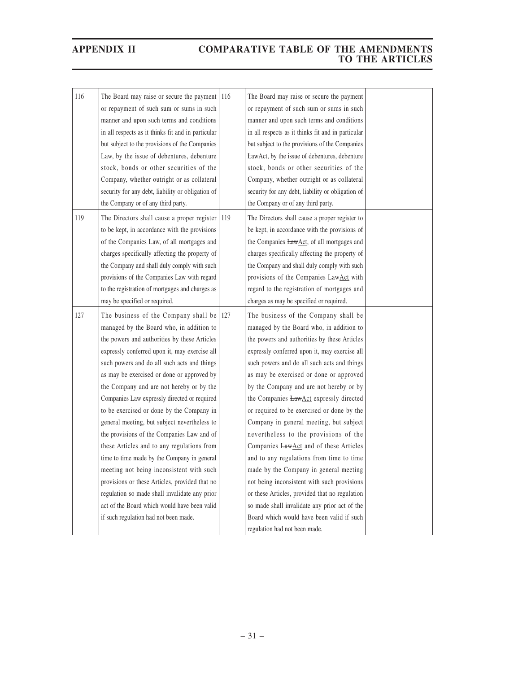| 116 | The Board may raise or secure the payment          | 116 | The Board may raise or secure the payment             |  |
|-----|----------------------------------------------------|-----|-------------------------------------------------------|--|
|     | or repayment of such sum or sums in such           |     | or repayment of such sum or sums in such              |  |
|     | manner and upon such terms and conditions          |     | manner and upon such terms and conditions             |  |
|     | in all respects as it thinks fit and in particular |     | in all respects as it thinks fit and in particular    |  |
|     | but subject to the provisions of the Companies     |     | but subject to the provisions of the Companies        |  |
|     | Law, by the issue of debentures, debenture         |     | <b>LawAct</b> , by the issue of debentures, debenture |  |
|     | stock, bonds or other securities of the            |     | stock, bonds or other securities of the               |  |
|     | Company, whether outright or as collateral         |     | Company, whether outright or as collateral            |  |
|     | security for any debt, liability or obligation of  |     | security for any debt, liability or obligation of     |  |
|     | the Company or of any third party.                 |     | the Company or of any third party.                    |  |
| 119 | The Directors shall cause a proper register        | 119 | The Directors shall cause a proper register to        |  |
|     | to be kept, in accordance with the provisions      |     | be kept, in accordance with the provisions of         |  |
|     | of the Companies Law, of all mortgages and         |     | the Companies LawAct, of all mortgages and            |  |
|     | charges specifically affecting the property of     |     | charges specifically affecting the property of        |  |
|     | the Company and shall duly comply with such        |     | the Company and shall duly comply with such           |  |
|     | provisions of the Companies Law with regard        |     | provisions of the Companies LawAct with               |  |
|     | to the registration of mortgages and charges as    |     | regard to the registration of mortgages and           |  |
|     | may be specified or required.                      |     | charges as may be specified or required.              |  |
| 127 | The business of the Company shall be               | 127 | The business of the Company shall be                  |  |
|     | managed by the Board who, in addition to           |     | managed by the Board who, in addition to              |  |
|     | the powers and authorities by these Articles       |     | the powers and authorities by these Articles          |  |
|     | expressly conferred upon it, may exercise all      |     | expressly conferred upon it, may exercise all         |  |
|     | such powers and do all such acts and things        |     | such powers and do all such acts and things           |  |
|     | as may be exercised or done or approved by         |     | as may be exercised or done or approved               |  |
|     | the Company and are not hereby or by the           |     | by the Company and are not hereby or by               |  |
|     | Companies Law expressly directed or required       |     | the Companies <b>LawAct</b> expressly directed        |  |
|     | to be exercised or done by the Company in          |     | or required to be exercised or done by the            |  |
|     | general meeting, but subject nevertheless to       |     | Company in general meeting, but subject               |  |
|     | the provisions of the Companies Law and of         |     | nevertheless to the provisions of the                 |  |
|     | these Articles and to any regulations from         |     | Companies <b>LawAct</b> and of these Articles         |  |
|     | time to time made by the Company in general        |     | and to any regulations from time to time              |  |
|     | meeting not being inconsistent with such           |     | made by the Company in general meeting                |  |
|     | provisions or these Articles, provided that no     |     | not being inconsistent with such provisions           |  |
|     | regulation so made shall invalidate any prior      |     | or these Articles, provided that no regulation        |  |
|     | act of the Board which would have been valid       |     | so made shall invalidate any prior act of the         |  |
|     | if such regulation had not been made.              |     | Board which would have been valid if such             |  |
|     |                                                    |     | regulation had not been made.                         |  |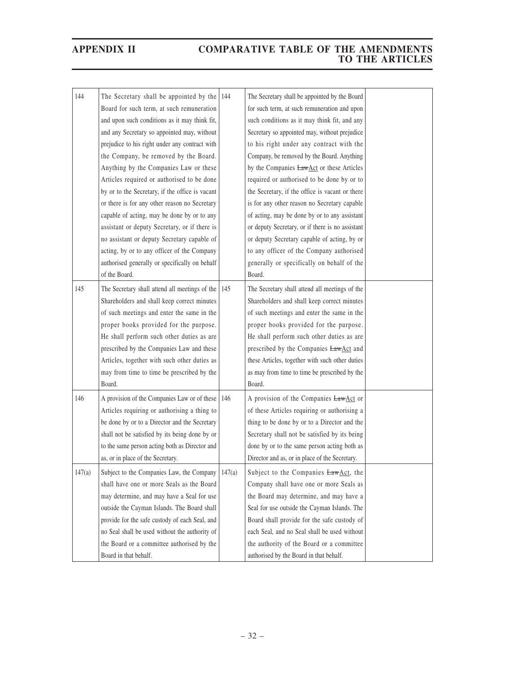| 144    | The Secretary shall be appointed by the         | 144    | The Secretary shall be appointed by the Board    |  |
|--------|-------------------------------------------------|--------|--------------------------------------------------|--|
|        | Board for such term, at such remuneration       |        | for such term, at such remuneration and upon     |  |
|        | and upon such conditions as it may think fit,   |        | such conditions as it may think fit, and any     |  |
|        | and any Secretary so appointed may, without     |        | Secretary so appointed may, without prejudice    |  |
|        | prejudice to his right under any contract with  |        | to his right under any contract with the         |  |
|        | the Company, be removed by the Board.           |        | Company, be removed by the Board. Anything       |  |
|        | Anything by the Companies Law or these          |        | by the Companies <b>LawAct</b> or these Articles |  |
|        | Articles required or authorised to be done      |        | required or authorised to be done by or to       |  |
|        | by or to the Secretary, if the office is vacant |        | the Secretary, if the office is vacant or there  |  |
|        | or there is for any other reason no Secretary   |        | is for any other reason no Secretary capable     |  |
|        | capable of acting, may be done by or to any     |        | of acting, may be done by or to any assistant    |  |
|        | assistant or deputy Secretary, or if there is   |        | or deputy Secretary, or if there is no assistant |  |
|        | no assistant or deputy Secretary capable of     |        | or deputy Secretary capable of acting, by or     |  |
|        | acting, by or to any officer of the Company     |        | to any officer of the Company authorised         |  |
|        | authorised generally or specifically on behalf  |        | generally or specifically on behalf of the       |  |
|        | of the Board.                                   |        | Board.                                           |  |
| 145    | The Secretary shall attend all meetings of the  | 145    | The Secretary shall attend all meetings of the   |  |
|        | Shareholders and shall keep correct minutes     |        | Shareholders and shall keep correct minutes      |  |
|        | of such meetings and enter the same in the      |        | of such meetings and enter the same in the       |  |
|        | proper books provided for the purpose.          |        | proper books provided for the purpose.           |  |
|        | He shall perform such other duties as are       |        | He shall perform such other duties as are        |  |
|        | prescribed by the Companies Law and these       |        | prescribed by the Companies LawAct and           |  |
|        | Articles, together with such other duties as    |        | these Articles, together with such other duties  |  |
|        | may from time to time be prescribed by the      |        | as may from time to time be prescribed by the    |  |
|        | Board.                                          |        | Board.                                           |  |
| 146    | A provision of the Companies Law or of these    | 146    | A provision of the Companies LawAct or           |  |
|        | Articles requiring or authorising a thing to    |        | of these Articles requiring or authorising a     |  |
|        | be done by or to a Director and the Secretary   |        | thing to be done by or to a Director and the     |  |
|        | shall not be satisfied by its being done by or  |        | Secretary shall not be satisfied by its being    |  |
|        | to the same person acting both as Director and  |        | done by or to the same person acting both as     |  |
|        | as, or in place of the Secretary.               |        | Director and as, or in place of the Secretary.   |  |
|        |                                                 |        |                                                  |  |
| 147(a) | Subject to the Companies Law, the Company       | 147(a) | Subject to the Companies LawAct, the             |  |
|        | shall have one or more Seals as the Board       |        | Company shall have one or more Seals as          |  |
|        | may determine, and may have a Seal for use      |        | the Board may determine, and may have a          |  |
|        | outside the Cayman Islands. The Board shall     |        | Seal for use outside the Cayman Islands. The     |  |
|        | provide for the safe custody of each Seal, and  |        | Board shall provide for the safe custody of      |  |
|        | no Seal shall be used without the authority of  |        | each Seal, and no Seal shall be used without     |  |
|        | the Board or a committee authorised by the      |        | the authority of the Board or a committee        |  |
|        | Board in that behalf.                           |        | authorised by the Board in that behalf.          |  |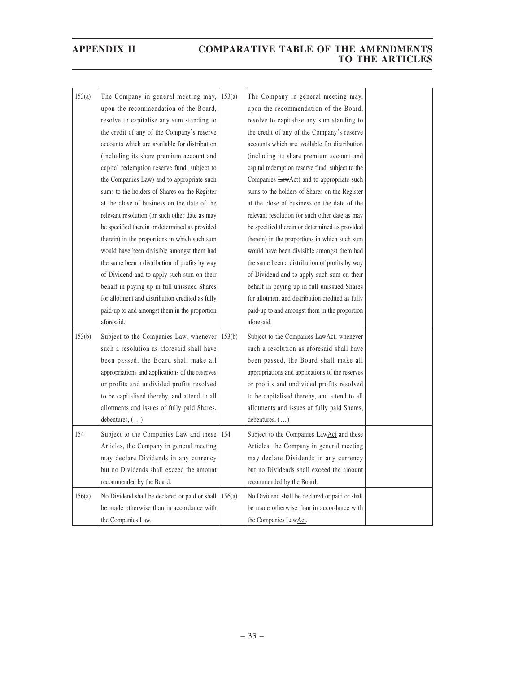| 153(a) | The Company in general meeting may,<br>upon the recommendation of the Board,<br>resolve to capitalise any sum standing to<br>the credit of any of the Company's reserve<br>accounts which are available for distribution<br>(including its share premium account and                                                                                                                                                                                                                         | 153(a) | The Company in general meeting may,<br>upon the recommendation of the Board,<br>resolve to capitalise any sum standing to<br>the credit of any of the Company's reserve<br>accounts which are available for distribution<br>(including its share premium account and                                                                                                                                                                                                                                    |  |
|--------|----------------------------------------------------------------------------------------------------------------------------------------------------------------------------------------------------------------------------------------------------------------------------------------------------------------------------------------------------------------------------------------------------------------------------------------------------------------------------------------------|--------|---------------------------------------------------------------------------------------------------------------------------------------------------------------------------------------------------------------------------------------------------------------------------------------------------------------------------------------------------------------------------------------------------------------------------------------------------------------------------------------------------------|--|
|        | capital redemption reserve fund, subject to<br>the Companies Law) and to appropriate such<br>sums to the holders of Shares on the Register<br>at the close of business on the date of the<br>relevant resolution (or such other date as may<br>be specified therein or determined as provided<br>therein) in the proportions in which such sum<br>would have been divisible amongst them had<br>the same been a distribution of profits by way<br>of Dividend and to apply such sum on their |        | capital redemption reserve fund, subject to the<br>Companies <b>LawAct</b> ) and to appropriate such<br>sums to the holders of Shares on the Register<br>at the close of business on the date of the<br>relevant resolution (or such other date as may<br>be specified therein or determined as provided<br>therein) in the proportions in which such sum<br>would have been divisible amongst them had<br>the same been a distribution of profits by way<br>of Dividend and to apply such sum on their |  |
|        | behalf in paying up in full unissued Shares<br>for allotment and distribution credited as fully<br>paid-up to and amongst them in the proportion<br>aforesaid.                                                                                                                                                                                                                                                                                                                               |        | behalf in paying up in full unissued Shares<br>for allotment and distribution credited as fully<br>paid-up to and amongst them in the proportion<br>aforesaid.                                                                                                                                                                                                                                                                                                                                          |  |
| 153(b) | Subject to the Companies Law, whenever $  153(b)$<br>such a resolution as aforesaid shall have<br>been passed, the Board shall make all<br>appropriations and applications of the reserves<br>or profits and undivided profits resolved<br>to be capitalised thereby, and attend to all<br>allotments and issues of fully paid Shares,<br>debentures, $(\ldots)$                                                                                                                             |        | Subject to the Companies LawAct, whenever<br>such a resolution as aforesaid shall have<br>been passed, the Board shall make all<br>appropriations and applications of the reserves<br>or profits and undivided profits resolved<br>to be capitalised thereby, and attend to all<br>allotments and issues of fully paid Shares,<br>debentures, $(\dots)$                                                                                                                                                 |  |
| 154    | Subject to the Companies Law and these<br>Articles, the Company in general meeting<br>may declare Dividends in any currency<br>but no Dividends shall exceed the amount<br>recommended by the Board.                                                                                                                                                                                                                                                                                         | 154    | Subject to the Companies LawAct and these<br>Articles, the Company in general meeting<br>may declare Dividends in any currency<br>but no Dividends shall exceed the amount<br>recommended by the Board.                                                                                                                                                                                                                                                                                                 |  |
| 156(a) | No Dividend shall be declared or paid or shall<br>be made otherwise than in accordance with<br>the Companies Law.                                                                                                                                                                                                                                                                                                                                                                            | 156(a) | No Dividend shall be declared or paid or shall<br>be made otherwise than in accordance with<br>the Companies LawAct.                                                                                                                                                                                                                                                                                                                                                                                    |  |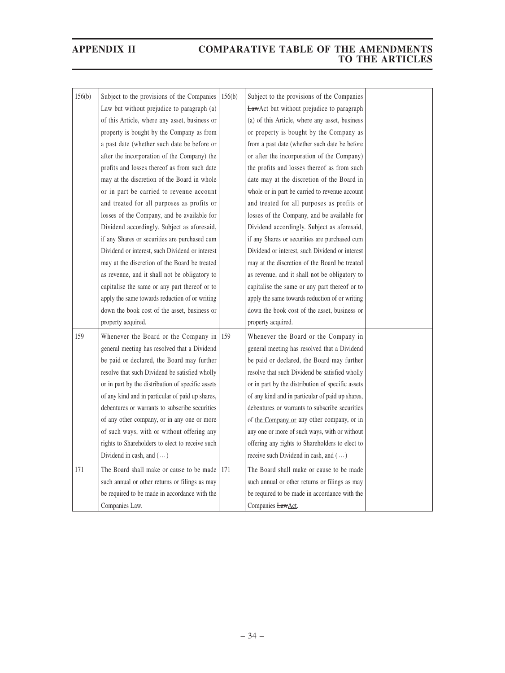| 156(b) | Subject to the provisions of the Companies         | 156(b) | Subject to the provisions of the Companies        |  |
|--------|----------------------------------------------------|--------|---------------------------------------------------|--|
|        | Law but without prejudice to paragraph (a)         |        | <b>LawAct</b> but without prejudice to paragraph  |  |
|        | of this Article, where any asset, business or      |        | (a) of this Article, where any asset, business    |  |
|        | property is bought by the Company as from          |        | or property is bought by the Company as           |  |
|        | a past date (whether such date be before or        |        | from a past date (whether such date be before     |  |
|        | after the incorporation of the Company) the        |        | or after the incorporation of the Company)        |  |
|        | profits and losses thereof as from such date       |        | the profits and losses thereof as from such       |  |
|        | may at the discretion of the Board in whole        |        | date may at the discretion of the Board in        |  |
|        | or in part be carried to revenue account           |        | whole or in part be carried to revenue account    |  |
|        | and treated for all purposes as profits or         |        | and treated for all purposes as profits or        |  |
|        | losses of the Company, and be available for        |        | losses of the Company, and be available for       |  |
|        | Dividend accordingly. Subject as aforesaid,        |        | Dividend accordingly. Subject as aforesaid,       |  |
|        | if any Shares or securities are purchased cum      |        | if any Shares or securities are purchased cum     |  |
|        | Dividend or interest, such Dividend or interest    |        | Dividend or interest, such Dividend or interest   |  |
|        | may at the discretion of the Board be treated      |        | may at the discretion of the Board be treated     |  |
|        | as revenue, and it shall not be obligatory to      |        | as revenue, and it shall not be obligatory to     |  |
|        | capitalise the same or any part thereof or to      |        | capitalise the same or any part thereof or to     |  |
|        | apply the same towards reduction of or writing     |        | apply the same towards reduction of or writing    |  |
|        | down the book cost of the asset, business or       |        | down the book cost of the asset, business or      |  |
|        | property acquired.                                 |        | property acquired.                                |  |
| 159    | Whenever the Board or the Company in $ 159\rangle$ |        | Whenever the Board or the Company in              |  |
|        | general meeting has resolved that a Dividend       |        | general meeting has resolved that a Dividend      |  |
|        | be paid or declared, the Board may further         |        | be paid or declared, the Board may further        |  |
|        | resolve that such Dividend be satisfied wholly     |        | resolve that such Dividend be satisfied wholly    |  |
|        | or in part by the distribution of specific assets  |        | or in part by the distribution of specific assets |  |
|        | of any kind and in particular of paid up shares,   |        | of any kind and in particular of paid up shares,  |  |
|        | debentures or warrants to subscribe securities     |        | debentures or warrants to subscribe securities    |  |
|        | of any other company, or in any one or more        |        | of the Company or any other company, or in        |  |
|        | of such ways, with or without offering any         |        | any one or more of such ways, with or without     |  |
|        | rights to Shareholders to elect to receive such    |        | offering any rights to Shareholders to elect to   |  |
|        | Dividend in cash, and ()                           |        | receive such Dividend in cash, and ()             |  |
| 171    | The Board shall make or cause to be made           | 171    | The Board shall make or cause to be made          |  |
|        | such annual or other returns or filings as may     |        | such annual or other returns or filings as may    |  |
|        | be required to be made in accordance with the      |        | be required to be made in accordance with the     |  |
|        | Companies Law.                                     |        | Companies LawAct.                                 |  |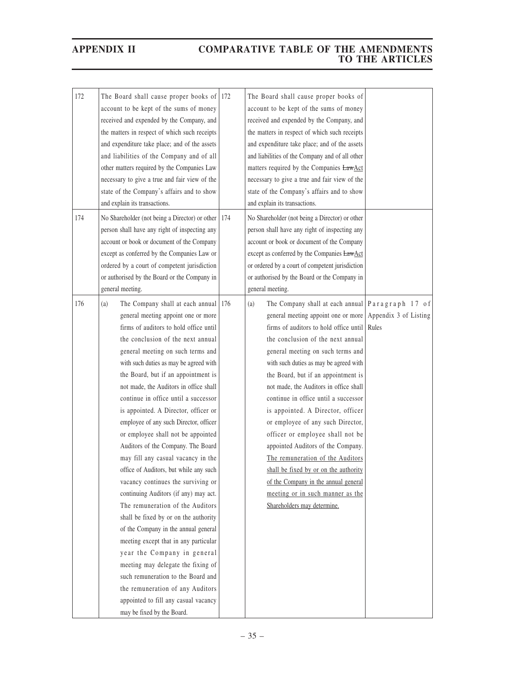| 172 | The Board shall cause proper books of<br>account to be kept of the sums of money<br>received and expended by the Company, and<br>the matters in respect of which such receipts<br>and expenditure take place; and of the assets<br>and liabilities of the Company and of all<br>other matters required by the Companies Law<br>necessary to give a true and fair view of the<br>state of the Company's affairs and to show<br>and explain its transactions.                                                                                                                                                                                                                                                                                                                                                                                                                                                                                                                                                                                                                                 | 172 | The Board shall cause proper books of<br>account to be kept of the sums of money<br>received and expended by the Company, and<br>the matters in respect of which such receipts<br>and expenditure take place; and of the assets<br>and liabilities of the Company and of all other<br>matters required by the Companies LawAct<br>necessary to give a true and fair view of the<br>state of the Company's affairs and to show<br>and explain its transactions.                                                                                                                                                                                                                                                                                                |  |
|-----|---------------------------------------------------------------------------------------------------------------------------------------------------------------------------------------------------------------------------------------------------------------------------------------------------------------------------------------------------------------------------------------------------------------------------------------------------------------------------------------------------------------------------------------------------------------------------------------------------------------------------------------------------------------------------------------------------------------------------------------------------------------------------------------------------------------------------------------------------------------------------------------------------------------------------------------------------------------------------------------------------------------------------------------------------------------------------------------------|-----|---------------------------------------------------------------------------------------------------------------------------------------------------------------------------------------------------------------------------------------------------------------------------------------------------------------------------------------------------------------------------------------------------------------------------------------------------------------------------------------------------------------------------------------------------------------------------------------------------------------------------------------------------------------------------------------------------------------------------------------------------------------|--|
| 174 | No Shareholder (not being a Director) or other<br>person shall have any right of inspecting any<br>account or book or document of the Company<br>except as conferred by the Companies Law or<br>ordered by a court of competent jurisdiction<br>or authorised by the Board or the Company in<br>general meeting.                                                                                                                                                                                                                                                                                                                                                                                                                                                                                                                                                                                                                                                                                                                                                                            | 174 | No Shareholder (not being a Director) or other<br>person shall have any right of inspecting any<br>account or book or document of the Company<br>except as conferred by the Companies LawAct<br>or ordered by a court of competent jurisdiction<br>or authorised by the Board or the Company in<br>general meeting.                                                                                                                                                                                                                                                                                                                                                                                                                                           |  |
| 176 | (a)<br>The Company shall at each annual   176<br>general meeting appoint one or more<br>firms of auditors to hold office until<br>the conclusion of the next annual<br>general meeting on such terms and<br>with such duties as may be agreed with<br>the Board, but if an appointment is<br>not made, the Auditors in office shall<br>continue in office until a successor<br>is appointed. A Director, officer or<br>employee of any such Director, officer<br>or employee shall not be appointed<br>Auditors of the Company. The Board<br>may fill any casual vacancy in the<br>office of Auditors, but while any such<br>vacancy continues the surviving or<br>continuing Auditors (if any) may act.<br>The remuneration of the Auditors<br>shall be fixed by or on the authority<br>of the Company in the annual general<br>meeting except that in any particular<br>year the Company in general<br>meeting may delegate the fixing of<br>such remuneration to the Board and<br>the remuneration of any Auditors<br>appointed to fill any casual vacancy<br>may be fixed by the Board. |     | The Company shall at each annual Paragraph 17 of<br>(a)<br>general meeting appoint one or more Appendix 3 of Listing<br>firms of auditors to hold office until Rules<br>the conclusion of the next annual<br>general meeting on such terms and<br>with such duties as may be agreed with<br>the Board, but if an appointment is<br>not made, the Auditors in office shall<br>continue in office until a successor<br>is appointed. A Director, officer<br>or employee of any such Director,<br>officer or employee shall not be<br>appointed Auditors of the Company.<br>The remuneration of the Auditors<br>shall be fixed by or on the authority<br>of the Company in the annual general<br>meeting or in such manner as the<br>Shareholders may determine. |  |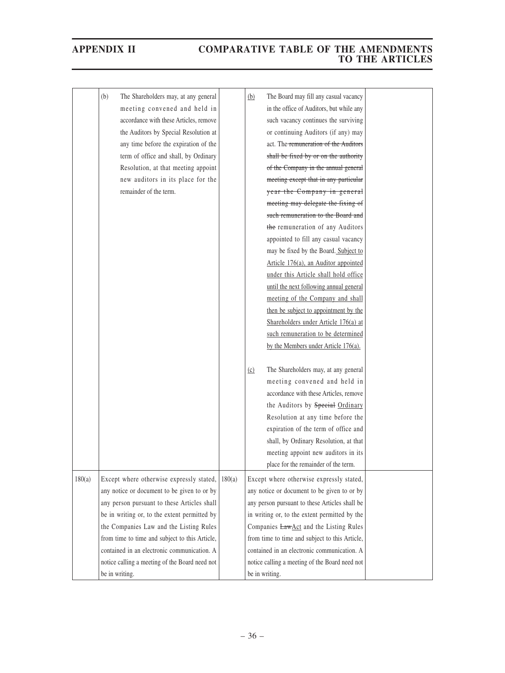|        | (b)            | The Shareholders may, at any general<br>meeting convened and held in<br>accordance with these Articles, remove<br>the Auditors by Special Resolution at<br>any time before the expiration of the<br>term of office and shall, by Ordinary<br>Resolution, at that meeting appoint<br>new auditors in its place for the<br>remainder of the term. |        | (b)                                                                                                                                                                                                                                                                                                                                   | The Board may fill any casual vacancy<br>in the office of Auditors, but while any<br>such vacancy continues the surviving<br>or continuing Auditors (if any) may<br>act. The remuneration of the Auditors<br>shall be fixed by or on the authority<br>of the Company in the annual general<br>meeting except that in any particular<br>year the Company in general<br>meeting may delegate the fixing of<br>such remuneration to the Board and<br>the remuneration of any Auditors<br>appointed to fill any casual vacancy<br>may be fixed by the Board. Subject to<br>Article 176(a), an Auditor appointed<br>under this Article shall hold office<br>until the next following annual general<br>meeting of the Company and shall<br>then be subject to appointment by the<br>Shareholders under Article 176(a) at |  |
|--------|----------------|-------------------------------------------------------------------------------------------------------------------------------------------------------------------------------------------------------------------------------------------------------------------------------------------------------------------------------------------------|--------|---------------------------------------------------------------------------------------------------------------------------------------------------------------------------------------------------------------------------------------------------------------------------------------------------------------------------------------|---------------------------------------------------------------------------------------------------------------------------------------------------------------------------------------------------------------------------------------------------------------------------------------------------------------------------------------------------------------------------------------------------------------------------------------------------------------------------------------------------------------------------------------------------------------------------------------------------------------------------------------------------------------------------------------------------------------------------------------------------------------------------------------------------------------------|--|
|        |                |                                                                                                                                                                                                                                                                                                                                                 |        | (c)                                                                                                                                                                                                                                                                                                                                   | such remuneration to be determined<br>by the Members under Article 176(a).<br>The Shareholders may, at any general                                                                                                                                                                                                                                                                                                                                                                                                                                                                                                                                                                                                                                                                                                  |  |
|        |                |                                                                                                                                                                                                                                                                                                                                                 |        |                                                                                                                                                                                                                                                                                                                                       | meeting convened and held in<br>accordance with these Articles, remove<br>the Auditors by Special Ordinary<br>Resolution at any time before the<br>expiration of the term of office and                                                                                                                                                                                                                                                                                                                                                                                                                                                                                                                                                                                                                             |  |
|        |                |                                                                                                                                                                                                                                                                                                                                                 |        |                                                                                                                                                                                                                                                                                                                                       | shall, by Ordinary Resolution, at that<br>meeting appoint new auditors in its<br>place for the remainder of the term.                                                                                                                                                                                                                                                                                                                                                                                                                                                                                                                                                                                                                                                                                               |  |
| 180(a) |                | Except where otherwise expressly stated,<br>any notice or document to be given to or by<br>any person pursuant to these Articles shall<br>be in writing or, to the extent permitted by<br>the Companies Law and the Listing Rules<br>from time to time and subject to this Article,<br>contained in an electronic communication. A              | 180(a) | Except where otherwise expressly stated,<br>any notice or document to be given to or by<br>any person pursuant to these Articles shall be<br>in writing or, to the extent permitted by the<br>Companies LawAct and the Listing Rules<br>from time to time and subject to this Article,<br>contained in an electronic communication. A |                                                                                                                                                                                                                                                                                                                                                                                                                                                                                                                                                                                                                                                                                                                                                                                                                     |  |
|        | be in writing. | notice calling a meeting of the Board need not                                                                                                                                                                                                                                                                                                  |        | be in writing.                                                                                                                                                                                                                                                                                                                        | notice calling a meeting of the Board need not                                                                                                                                                                                                                                                                                                                                                                                                                                                                                                                                                                                                                                                                                                                                                                      |  |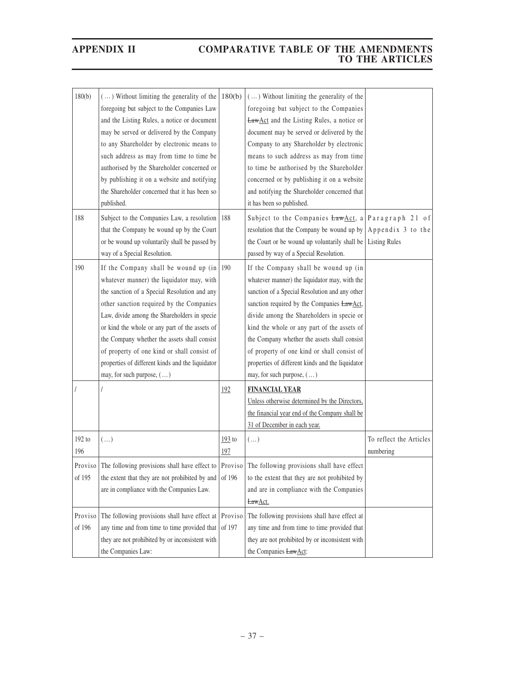| 180(b)<br>188     | () Without limiting the generality of the<br>foregoing but subject to the Companies Law<br>and the Listing Rules, a notice or document<br>may be served or delivered by the Company<br>to any Shareholder by electronic means to<br>such address as may from time to time be<br>authorised by the Shareholder concerned or<br>by publishing it on a website and notifying<br>the Shareholder concerned that it has been so<br>published.<br>Subject to the Companies Law, a resolution | 180(b)<br>188     | () Without limiting the generality of the<br>foregoing but subject to the Companies<br><b>LawAct</b> and the Listing Rules, a notice or<br>document may be served or delivered by the<br>Company to any Shareholder by electronic<br>means to such address as may from time<br>to time be authorised by the Shareholder<br>concerned or by publishing it on a website<br>and notifying the Shareholder concerned that<br>it has been so published.<br>Subject to the Companies $LawAct$ , a Paragraph 21 of |                                           |
|-------------------|----------------------------------------------------------------------------------------------------------------------------------------------------------------------------------------------------------------------------------------------------------------------------------------------------------------------------------------------------------------------------------------------------------------------------------------------------------------------------------------|-------------------|-------------------------------------------------------------------------------------------------------------------------------------------------------------------------------------------------------------------------------------------------------------------------------------------------------------------------------------------------------------------------------------------------------------------------------------------------------------------------------------------------------------|-------------------------------------------|
|                   | that the Company be wound up by the Court<br>or be wound up voluntarily shall be passed by<br>way of a Special Resolution.                                                                                                                                                                                                                                                                                                                                                             |                   | resolution that the Company be wound up by<br>the Court or be wound up voluntarily shall be<br>passed by way of a Special Resolution.                                                                                                                                                                                                                                                                                                                                                                       | Appendix 3 to the<br><b>Listing Rules</b> |
| 190               | If the Company shall be wound up $(in   190$<br>whatever manner) the liquidator may, with<br>the sanction of a Special Resolution and any<br>other sanction required by the Companies<br>Law, divide among the Shareholders in specie<br>or kind the whole or any part of the assets of<br>the Company whether the assets shall consist<br>of property of one kind or shall consist of<br>properties of different kinds and the liquidator<br>may, for such purpose, ()                |                   | If the Company shall be wound up (in<br>whatever manner) the liquidator may, with the<br>sanction of a Special Resolution and any other<br>sanction required by the Companies LawAct,<br>divide among the Shareholders in specie or<br>kind the whole or any part of the assets of<br>the Company whether the assets shall consist<br>of property of one kind or shall consist of<br>properties of different kinds and the liquidator<br>may, for such purpose, ()                                          |                                           |
|                   |                                                                                                                                                                                                                                                                                                                                                                                                                                                                                        | 192               | <b>FINANCIAL YEAR</b><br>Unless otherwise determined by the Directors,<br>the financial year end of the Company shall be<br>31 of December in each year.                                                                                                                                                                                                                                                                                                                                                    |                                           |
| 192 to<br>196     | $(\ldots)$                                                                                                                                                                                                                                                                                                                                                                                                                                                                             | $193$ to<br>197   | $(\ldots)$                                                                                                                                                                                                                                                                                                                                                                                                                                                                                                  | To reflect the Articles<br>numbering      |
| of 195            | Proviso The following provisions shall have effect to Proviso The following provisions shall have effect<br>the extent that they are not prohibited by and<br>are in compliance with the Companies Law.                                                                                                                                                                                                                                                                                | of 196            | to the extent that they are not prohibited by<br>and are in compliance with the Companies<br>LawAct.                                                                                                                                                                                                                                                                                                                                                                                                        |                                           |
| Proviso<br>of 196 | The following provisions shall have effect at<br>any time and from time to time provided that<br>they are not prohibited by or inconsistent with<br>the Companies Law:                                                                                                                                                                                                                                                                                                                 | Proviso<br>of 197 | The following provisions shall have effect at<br>any time and from time to time provided that<br>they are not prohibited by or inconsistent with<br>the Companies LawAct:                                                                                                                                                                                                                                                                                                                                   |                                           |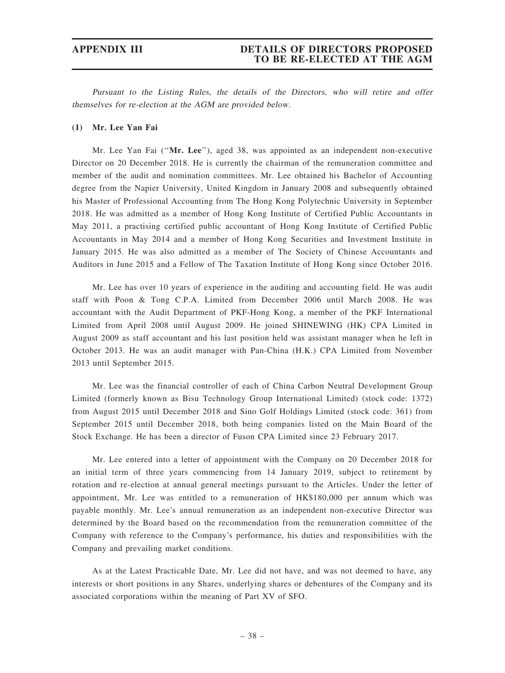### APPENDIX III DETAILS OF DIRECTORS PROPOSED TO BE RE-ELECTED AT THE AGM

Pursuant to the Listing Rules, the details of the Directors, who will retire and offer themselves for re-election at the AGM are provided below.

### (1) Mr. Lee Yan Fai

Mr. Lee Yan Fai (''Mr. Lee''), aged 38, was appointed as an independent non-executive Director on 20 December 2018. He is currently the chairman of the remuneration committee and member of the audit and nomination committees. Mr. Lee obtained his Bachelor of Accounting degree from the Napier University, United Kingdom in January 2008 and subsequently obtained his Master of Professional Accounting from The Hong Kong Polytechnic University in September 2018. He was admitted as a member of Hong Kong Institute of Certified Public Accountants in May 2011, a practising certified public accountant of Hong Kong Institute of Certified Public Accountants in May 2014 and a member of Hong Kong Securities and Investment Institute in January 2015. He was also admitted as a member of The Society of Chinese Accountants and Auditors in June 2015 and a Fellow of The Taxation Institute of Hong Kong since October 2016.

Mr. Lee has over 10 years of experience in the auditing and accounting field. He was audit staff with Poon & Tong C.P.A. Limited from December 2006 until March 2008. He was accountant with the Audit Department of PKF-Hong Kong, a member of the PKF International Limited from April 2008 until August 2009. He joined SHINEWING (HK) CPA Limited in August 2009 as staff accountant and his last position held was assistant manager when he left in October 2013. He was an audit manager with Pan-China (H.K.) CPA Limited from November 2013 until September 2015.

Mr. Lee was the financial controller of each of China Carbon Neutral Development Group Limited (formerly known as Bisu Technology Group International Limited) (stock code: 1372) from August 2015 until December 2018 and Sino Golf Holdings Limited (stock code: 361) from September 2015 until December 2018, both being companies listed on the Main Board of the Stock Exchange. He has been a director of Fuson CPA Limited since 23 February 2017.

Mr. Lee entered into a letter of appointment with the Company on 20 December 2018 for an initial term of three years commencing from 14 January 2019, subject to retirement by rotation and re-election at annual general meetings pursuant to the Articles. Under the letter of appointment, Mr. Lee was entitled to a remuneration of HK\$180,000 per annum which was payable monthly. Mr. Lee's annual remuneration as an independent non-executive Director was determined by the Board based on the recommendation from the remuneration committee of the Company with reference to the Company's performance, his duties and responsibilities with the Company and prevailing market conditions.

As at the Latest Practicable Date, Mr. Lee did not have, and was not deemed to have, any interests or short positions in any Shares, underlying shares or debentures of the Company and its associated corporations within the meaning of Part XV of SFO.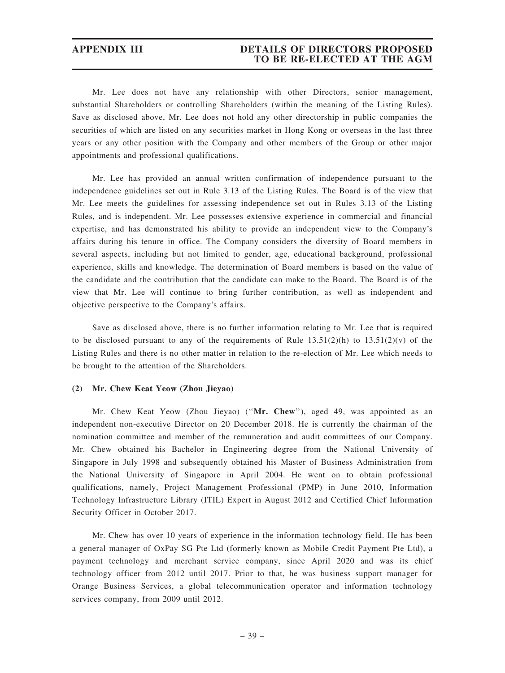Mr. Lee does not have any relationship with other Directors, senior management, substantial Shareholders or controlling Shareholders (within the meaning of the Listing Rules). Save as disclosed above, Mr. Lee does not hold any other directorship in public companies the securities of which are listed on any securities market in Hong Kong or overseas in the last three years or any other position with the Company and other members of the Group or other major appointments and professional qualifications.

Mr. Lee has provided an annual written confirmation of independence pursuant to the independence guidelines set out in Rule 3.13 of the Listing Rules. The Board is of the view that Mr. Lee meets the guidelines for assessing independence set out in Rules 3.13 of the Listing Rules, and is independent. Mr. Lee possesses extensive experience in commercial and financial expertise, and has demonstrated his ability to provide an independent view to the Company's affairs during his tenure in office. The Company considers the diversity of Board members in several aspects, including but not limited to gender, age, educational background, professional experience, skills and knowledge. The determination of Board members is based on the value of the candidate and the contribution that the candidate can make to the Board. The Board is of the view that Mr. Lee will continue to bring further contribution, as well as independent and objective perspective to the Company's affairs.

Save as disclosed above, there is no further information relating to Mr. Lee that is required to be disclosed pursuant to any of the requirements of Rule  $13.51(2)(h)$  to  $13.51(2)(v)$  of the Listing Rules and there is no other matter in relation to the re-election of Mr. Lee which needs to be brought to the attention of the Shareholders.

### (2) Mr. Chew Keat Yeow (Zhou Jieyao)

Mr. Chew Keat Yeow (Zhou Jieyao) ("Mr. Chew"), aged 49, was appointed as an independent non-executive Director on 20 December 2018. He is currently the chairman of the nomination committee and member of the remuneration and audit committees of our Company. Mr. Chew obtained his Bachelor in Engineering degree from the National University of Singapore in July 1998 and subsequently obtained his Master of Business Administration from the National University of Singapore in April 2004. He went on to obtain professional qualifications, namely, Project Management Professional (PMP) in June 2010, Information Technology Infrastructure Library (ITIL) Expert in August 2012 and Certified Chief Information Security Officer in October 2017.

Mr. Chew has over 10 years of experience in the information technology field. He has been a general manager of OxPay SG Pte Ltd (formerly known as Mobile Credit Payment Pte Ltd), a payment technology and merchant service company, since April 2020 and was its chief technology officer from 2012 until 2017. Prior to that, he was business support manager for Orange Business Services, a global telecommunication operator and information technology services company, from 2009 until 2012.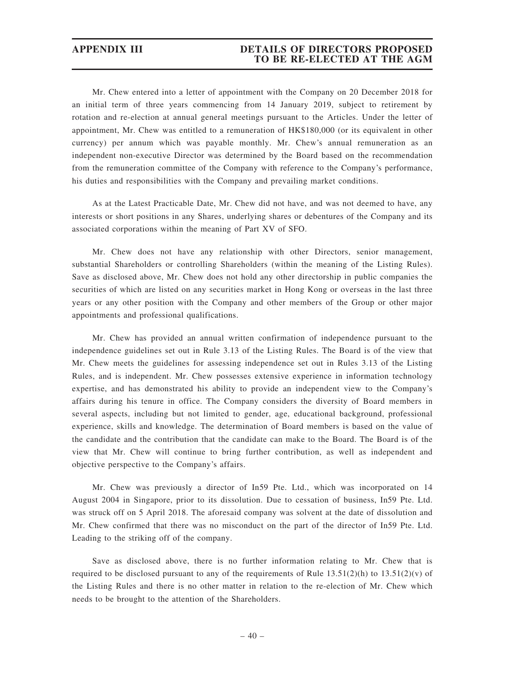### APPENDIX III DETAILS OF DIRECTORS PROPOSED TO BE RE-ELECTED AT THE AGM

Mr. Chew entered into a letter of appointment with the Company on 20 December 2018 for an initial term of three years commencing from 14 January 2019, subject to retirement by rotation and re-election at annual general meetings pursuant to the Articles. Under the letter of appointment, Mr. Chew was entitled to a remuneration of HK\$180,000 (or its equivalent in other currency) per annum which was payable monthly. Mr. Chew's annual remuneration as an independent non-executive Director was determined by the Board based on the recommendation from the remuneration committee of the Company with reference to the Company's performance, his duties and responsibilities with the Company and prevailing market conditions.

As at the Latest Practicable Date, Mr. Chew did not have, and was not deemed to have, any interests or short positions in any Shares, underlying shares or debentures of the Company and its associated corporations within the meaning of Part XV of SFO.

Mr. Chew does not have any relationship with other Directors, senior management, substantial Shareholders or controlling Shareholders (within the meaning of the Listing Rules). Save as disclosed above, Mr. Chew does not hold any other directorship in public companies the securities of which are listed on any securities market in Hong Kong or overseas in the last three years or any other position with the Company and other members of the Group or other major appointments and professional qualifications.

Mr. Chew has provided an annual written confirmation of independence pursuant to the independence guidelines set out in Rule 3.13 of the Listing Rules. The Board is of the view that Mr. Chew meets the guidelines for assessing independence set out in Rules 3.13 of the Listing Rules, and is independent. Mr. Chew possesses extensive experience in information technology expertise, and has demonstrated his ability to provide an independent view to the Company's affairs during his tenure in office. The Company considers the diversity of Board members in several aspects, including but not limited to gender, age, educational background, professional experience, skills and knowledge. The determination of Board members is based on the value of the candidate and the contribution that the candidate can make to the Board. The Board is of the view that Mr. Chew will continue to bring further contribution, as well as independent and objective perspective to the Company's affairs.

Mr. Chew was previously a director of In59 Pte. Ltd., which was incorporated on 14 August 2004 in Singapore, prior to its dissolution. Due to cessation of business, In59 Pte. Ltd. was struck off on 5 April 2018. The aforesaid company was solvent at the date of dissolution and Mr. Chew confirmed that there was no misconduct on the part of the director of In59 Pte. Ltd. Leading to the striking off of the company.

Save as disclosed above, there is no further information relating to Mr. Chew that is required to be disclosed pursuant to any of the requirements of Rule  $13.51(2)(h)$  to  $13.51(2)(v)$  of the Listing Rules and there is no other matter in relation to the re-election of Mr. Chew which needs to be brought to the attention of the Shareholders.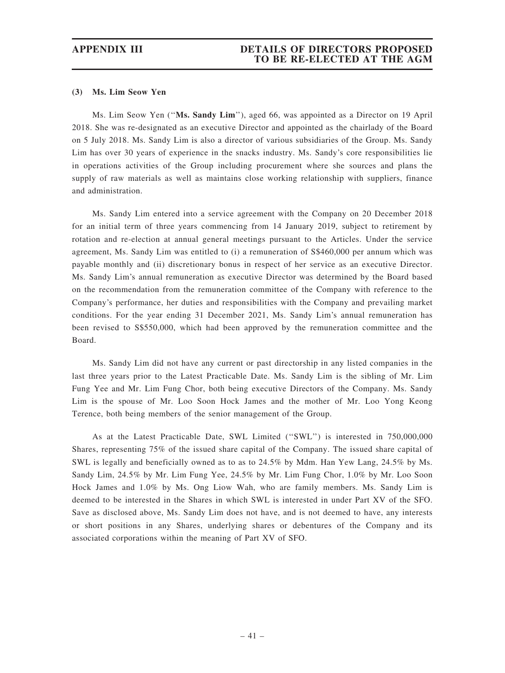### (3) Ms. Lim Seow Yen

Ms. Lim Seow Yen (''Ms. Sandy Lim''), aged 66, was appointed as a Director on 19 April 2018. She was re-designated as an executive Director and appointed as the chairlady of the Board on 5 July 2018. Ms. Sandy Lim is also a director of various subsidiaries of the Group. Ms. Sandy Lim has over 30 years of experience in the snacks industry. Ms. Sandy's core responsibilities lie in operations activities of the Group including procurement where she sources and plans the supply of raw materials as well as maintains close working relationship with suppliers, finance and administration.

Ms. Sandy Lim entered into a service agreement with the Company on 20 December 2018 for an initial term of three years commencing from 14 January 2019, subject to retirement by rotation and re-election at annual general meetings pursuant to the Articles. Under the service agreement, Ms. Sandy Lim was entitled to (i) a remuneration of S\$460,000 per annum which was payable monthly and (ii) discretionary bonus in respect of her service as an executive Director. Ms. Sandy Lim's annual remuneration as executive Director was determined by the Board based on the recommendation from the remuneration committee of the Company with reference to the Company's performance, her duties and responsibilities with the Company and prevailing market conditions. For the year ending 31 December 2021, Ms. Sandy Lim's annual remuneration has been revised to S\$550,000, which had been approved by the remuneration committee and the Board.

Ms. Sandy Lim did not have any current or past directorship in any listed companies in the last three years prior to the Latest Practicable Date. Ms. Sandy Lim is the sibling of Mr. Lim Fung Yee and Mr. Lim Fung Chor, both being executive Directors of the Company. Ms. Sandy Lim is the spouse of Mr. Loo Soon Hock James and the mother of Mr. Loo Yong Keong Terence, both being members of the senior management of the Group.

As at the Latest Practicable Date, SWL Limited (''SWL'') is interested in 750,000,000 Shares, representing 75% of the issued share capital of the Company. The issued share capital of SWL is legally and beneficially owned as to as to 24.5% by Mdm. Han Yew Lang, 24.5% by Ms. Sandy Lim, 24.5% by Mr. Lim Fung Yee, 24.5% by Mr. Lim Fung Chor, 1.0% by Mr. Loo Soon Hock James and 1.0% by Ms. Ong Liow Wah, who are family members. Ms. Sandy Lim is deemed to be interested in the Shares in which SWL is interested in under Part XV of the SFO. Save as disclosed above, Ms. Sandy Lim does not have, and is not deemed to have, any interests or short positions in any Shares, underlying shares or debentures of the Company and its associated corporations within the meaning of Part XV of SFO.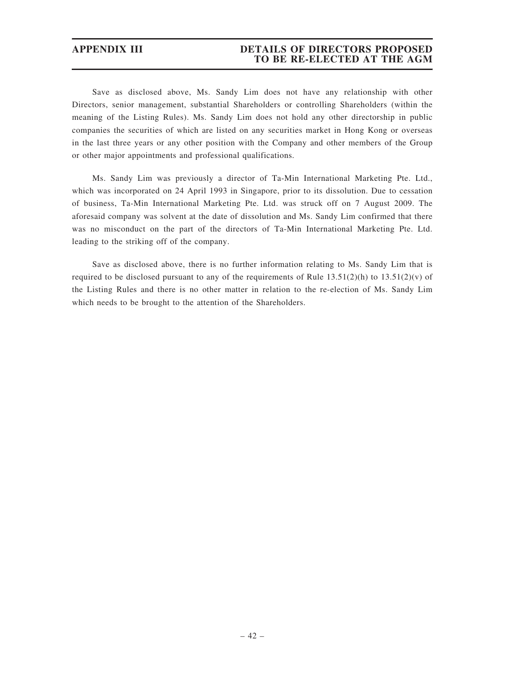# APPENDIX III DETAILS OF DIRECTORS PROPOSED TO BE RE-ELECTED AT THE AGM

Save as disclosed above, Ms. Sandy Lim does not have any relationship with other Directors, senior management, substantial Shareholders or controlling Shareholders (within the meaning of the Listing Rules). Ms. Sandy Lim does not hold any other directorship in public companies the securities of which are listed on any securities market in Hong Kong or overseas in the last three years or any other position with the Company and other members of the Group or other major appointments and professional qualifications.

Ms. Sandy Lim was previously a director of Ta-Min International Marketing Pte. Ltd., which was incorporated on 24 April 1993 in Singapore, prior to its dissolution. Due to cessation of business, Ta-Min International Marketing Pte. Ltd. was struck off on 7 August 2009. The aforesaid company was solvent at the date of dissolution and Ms. Sandy Lim confirmed that there was no misconduct on the part of the directors of Ta-Min International Marketing Pte. Ltd. leading to the striking off of the company.

Save as disclosed above, there is no further information relating to Ms. Sandy Lim that is required to be disclosed pursuant to any of the requirements of Rule  $13.51(2)(h)$  to  $13.51(2)(v)$  of the Listing Rules and there is no other matter in relation to the re-election of Ms. Sandy Lim which needs to be brought to the attention of the Shareholders.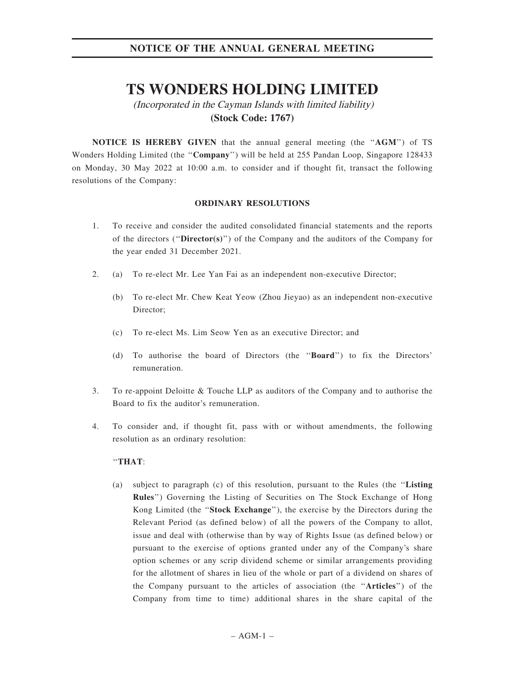# **TS WONDERS HOLDING LIMITED**

(Incorporated in the Cayman Islands with limited liability) **(Stock Code: 1767)**

NOTICE IS HEREBY GIVEN that the annual general meeting (the "AGM") of TS Wonders Holding Limited (the "Company") will be held at 255 Pandan Loop, Singapore 128433 on Monday, 30 May 2022 at 10:00 a.m. to consider and if thought fit, transact the following resolutions of the Company:

### ORDINARY RESOLUTIONS

- 1. To receive and consider the audited consolidated financial statements and the reports of the directors (" $\text{Directory}(s)$ ") of the Company and the auditors of the Company for the year ended 31 December 2021.
- 2. (a) To re-elect Mr. Lee Yan Fai as an independent non-executive Director;
	- (b) To re-elect Mr. Chew Keat Yeow (Zhou Jieyao) as an independent non-executive Director;
	- (c) To re-elect Ms. Lim Seow Yen as an executive Director; and
	- (d) To authorise the board of Directors (the ''Board'') to fix the Directors' remuneration.
- 3. To re-appoint Deloitte & Touche LLP as auditors of the Company and to authorise the Board to fix the auditor's remuneration.
- 4. To consider and, if thought fit, pass with or without amendments, the following resolution as an ordinary resolution:

### ''THAT:

(a) subject to paragraph (c) of this resolution, pursuant to the Rules (the ''Listing Rules'') Governing the Listing of Securities on The Stock Exchange of Hong Kong Limited (the ''Stock Exchange''), the exercise by the Directors during the Relevant Period (as defined below) of all the powers of the Company to allot, issue and deal with (otherwise than by way of Rights Issue (as defined below) or pursuant to the exercise of options granted under any of the Company's share option schemes or any scrip dividend scheme or similar arrangements providing for the allotment of shares in lieu of the whole or part of a dividend on shares of the Company pursuant to the articles of association (the ''Articles'') of the Company from time to time) additional shares in the share capital of the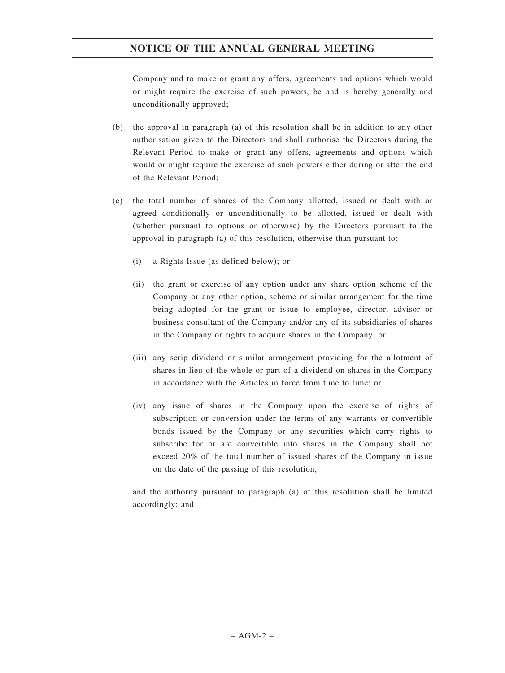Company and to make or grant any offers, agreements and options which would or might require the exercise of such powers, be and is hereby generally and unconditionally approved;

- (b) the approval in paragraph (a) of this resolution shall be in addition to any other authorisation given to the Directors and shall authorise the Directors during the Relevant Period to make or grant any offers, agreements and options which would or might require the exercise of such powers either during or after the end of the Relevant Period;
- (c) the total number of shares of the Company allotted, issued or dealt with or agreed conditionally or unconditionally to be allotted, issued or dealt with (whether pursuant to options or otherwise) by the Directors pursuant to the approval in paragraph (a) of this resolution, otherwise than pursuant to:
	- (i) a Rights Issue (as defined below); or
	- (ii) the grant or exercise of any option under any share option scheme of the Company or any other option, scheme or similar arrangement for the time being adopted for the grant or issue to employee, director, advisor or business consultant of the Company and/or any of its subsidiaries of shares in the Company or rights to acquire shares in the Company; or
	- (iii) any scrip dividend or similar arrangement providing for the allotment of shares in lieu of the whole or part of a dividend on shares in the Company in accordance with the Articles in force from time to time; or
	- (iv) any issue of shares in the Company upon the exercise of rights of subscription or conversion under the terms of any warrants or convertible bonds issued by the Company or any securities which carry rights to subscribe for or are convertible into shares in the Company shall not exceed 20% of the total number of issued shares of the Company in issue on the date of the passing of this resolution,

and the authority pursuant to paragraph (a) of this resolution shall be limited accordingly; and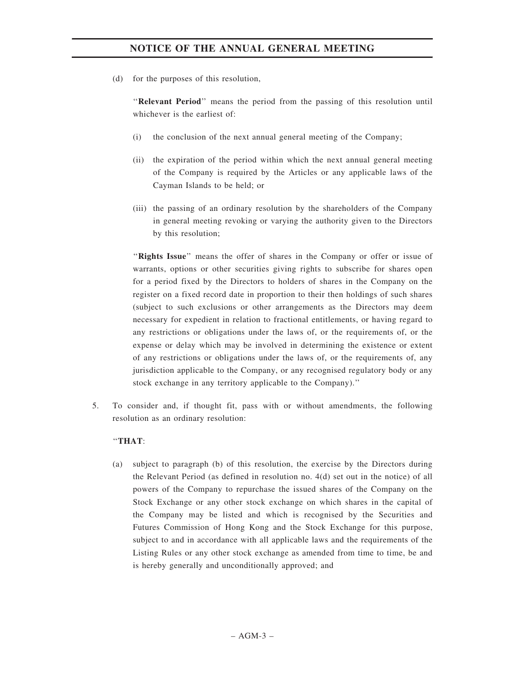(d) for the purposes of this resolution,

''Relevant Period'' means the period from the passing of this resolution until whichever is the earliest of:

- (i) the conclusion of the next annual general meeting of the Company;
- (ii) the expiration of the period within which the next annual general meeting of the Company is required by the Articles or any applicable laws of the Cayman Islands to be held; or
- (iii) the passing of an ordinary resolution by the shareholders of the Company in general meeting revoking or varying the authority given to the Directors by this resolution;

"Rights Issue" means the offer of shares in the Company or offer or issue of warrants, options or other securities giving rights to subscribe for shares open for a period fixed by the Directors to holders of shares in the Company on the register on a fixed record date in proportion to their then holdings of such shares (subject to such exclusions or other arrangements as the Directors may deem necessary for expedient in relation to fractional entitlements, or having regard to any restrictions or obligations under the laws of, or the requirements of, or the expense or delay which may be involved in determining the existence or extent of any restrictions or obligations under the laws of, or the requirements of, any jurisdiction applicable to the Company, or any recognised regulatory body or any stock exchange in any territory applicable to the Company).''

5. To consider and, if thought fit, pass with or without amendments, the following resolution as an ordinary resolution:

### ''THAT:

(a) subject to paragraph (b) of this resolution, the exercise by the Directors during the Relevant Period (as defined in resolution no. 4(d) set out in the notice) of all powers of the Company to repurchase the issued shares of the Company on the Stock Exchange or any other stock exchange on which shares in the capital of the Company may be listed and which is recognised by the Securities and Futures Commission of Hong Kong and the Stock Exchange for this purpose, subject to and in accordance with all applicable laws and the requirements of the Listing Rules or any other stock exchange as amended from time to time, be and is hereby generally and unconditionally approved; and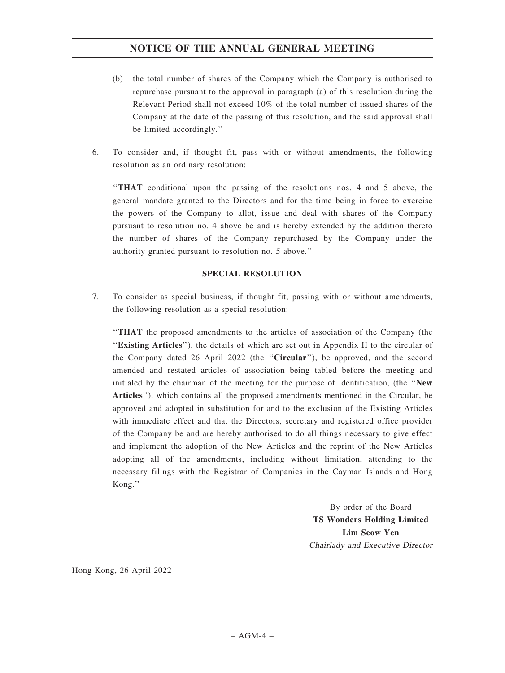- (b) the total number of shares of the Company which the Company is authorised to repurchase pursuant to the approval in paragraph (a) of this resolution during the Relevant Period shall not exceed 10% of the total number of issued shares of the Company at the date of the passing of this resolution, and the said approval shall be limited accordingly.''
- 6. To consider and, if thought fit, pass with or without amendments, the following resolution as an ordinary resolution:

''THAT conditional upon the passing of the resolutions nos. 4 and 5 above, the general mandate granted to the Directors and for the time being in force to exercise the powers of the Company to allot, issue and deal with shares of the Company pursuant to resolution no. 4 above be and is hereby extended by the addition thereto the number of shares of the Company repurchased by the Company under the authority granted pursuant to resolution no. 5 above.''

### SPECIAL RESOLUTION

7. To consider as special business, if thought fit, passing with or without amendments, the following resolution as a special resolution:

''THAT the proposed amendments to the articles of association of the Company (the ''Existing Articles''), the details of which are set out in Appendix II to the circular of the Company dated 26 April 2022 (the ''Circular''), be approved, and the second amended and restated articles of association being tabled before the meeting and initialed by the chairman of the meeting for the purpose of identification, (the ''New Articles''), which contains all the proposed amendments mentioned in the Circular, be approved and adopted in substitution for and to the exclusion of the Existing Articles with immediate effect and that the Directors, secretary and registered office provider of the Company be and are hereby authorised to do all things necessary to give effect and implement the adoption of the New Articles and the reprint of the New Articles adopting all of the amendments, including without limitation, attending to the necessary filings with the Registrar of Companies in the Cayman Islands and Hong Kong.''

> By order of the Board TS Wonders Holding Limited Lim Seow Yen Chairlady and Executive Director

Hong Kong, 26 April 2022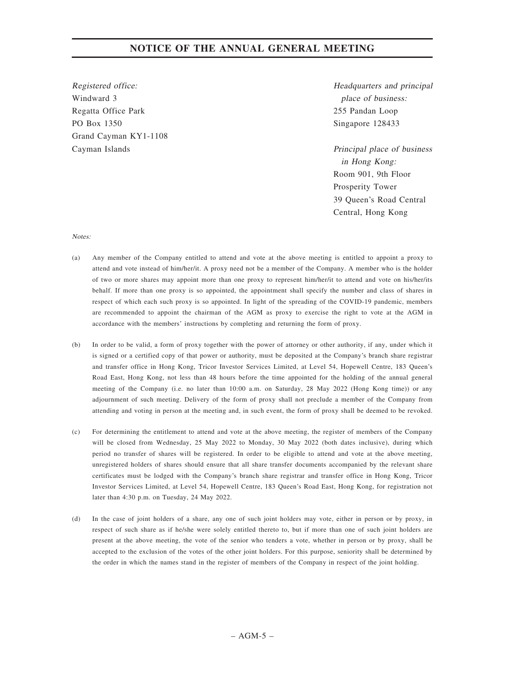Registered office: Windward 3 Regatta Office Park PO Box 1350 Grand Cayman KY1-1108 Cayman Islands

Headquarters and principal place of business: 255 Pandan Loop Singapore 128433

Principal place of business in Hong Kong: Room 901, 9th Floor Prosperity Tower 39 Queen's Road Central Central, Hong Kong

### Notes:

- (a) Any member of the Company entitled to attend and vote at the above meeting is entitled to appoint a proxy to attend and vote instead of him/her/it. A proxy need not be a member of the Company. A member who is the holder of two or more shares may appoint more than one proxy to represent him/her/it to attend and vote on his/her/its behalf. If more than one proxy is so appointed, the appointment shall specify the number and class of shares in respect of which each such proxy is so appointed. In light of the spreading of the COVID-19 pandemic, members are recommended to appoint the chairman of the AGM as proxy to exercise the right to vote at the AGM in accordance with the members' instructions by completing and returning the form of proxy.
- (b) In order to be valid, a form of proxy together with the power of attorney or other authority, if any, under which it is signed or a certified copy of that power or authority, must be deposited at the Company's branch share registrar and transfer office in Hong Kong, Tricor Investor Services Limited, at Level 54, Hopewell Centre, 183 Queen's Road East, Hong Kong, not less than 48 hours before the time appointed for the holding of the annual general meeting of the Company (i.e. no later than 10:00 a.m. on Saturday, 28 May 2022 (Hong Kong time)) or any adjournment of such meeting. Delivery of the form of proxy shall not preclude a member of the Company from attending and voting in person at the meeting and, in such event, the form of proxy shall be deemed to be revoked.
- (c) For determining the entitlement to attend and vote at the above meeting, the register of members of the Company will be closed from Wednesday, 25 May 2022 to Monday, 30 May 2022 (both dates inclusive), during which period no transfer of shares will be registered. In order to be eligible to attend and vote at the above meeting, unregistered holders of shares should ensure that all share transfer documents accompanied by the relevant share certificates must be lodged with the Company's branch share registrar and transfer office in Hong Kong, Tricor Investor Services Limited, at Level 54, Hopewell Centre, 183 Queen's Road East, Hong Kong, for registration not later than 4:30 p.m. on Tuesday, 24 May 2022.
- (d) In the case of joint holders of a share, any one of such joint holders may vote, either in person or by proxy, in respect of such share as if he/she were solely entitled thereto to, but if more than one of such joint holders are present at the above meeting, the vote of the senior who tenders a vote, whether in person or by proxy, shall be accepted to the exclusion of the votes of the other joint holders. For this purpose, seniority shall be determined by the order in which the names stand in the register of members of the Company in respect of the joint holding.